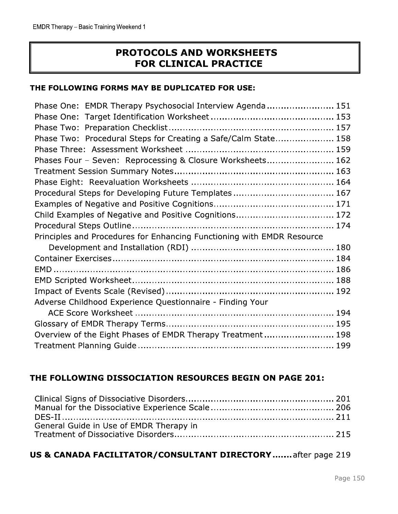| THE FOLLOWING FORMS MAY BE DUPLICATED FOR USE:<br>Phase One: EMDR Therapy Psychosocial Interview Agenda  151<br>Phase Two: Procedural Steps for Creating a Safe/Calm State 158<br>Phases Four - Seven: Reprocessing & Closure Worksheets 162<br>Procedural Steps for Developing Future Templates 167<br>Child Examples of Negative and Positive Cognitions 172<br>Principles and Procedures for Enhancing Functioning with EMDR Resource<br>Adverse Childhood Experience Questionnaire - Finding Your |  |
|-------------------------------------------------------------------------------------------------------------------------------------------------------------------------------------------------------------------------------------------------------------------------------------------------------------------------------------------------------------------------------------------------------------------------------------------------------------------------------------------------------|--|
|                                                                                                                                                                                                                                                                                                                                                                                                                                                                                                       |  |
|                                                                                                                                                                                                                                                                                                                                                                                                                                                                                                       |  |
|                                                                                                                                                                                                                                                                                                                                                                                                                                                                                                       |  |
|                                                                                                                                                                                                                                                                                                                                                                                                                                                                                                       |  |
|                                                                                                                                                                                                                                                                                                                                                                                                                                                                                                       |  |
|                                                                                                                                                                                                                                                                                                                                                                                                                                                                                                       |  |
|                                                                                                                                                                                                                                                                                                                                                                                                                                                                                                       |  |
|                                                                                                                                                                                                                                                                                                                                                                                                                                                                                                       |  |
|                                                                                                                                                                                                                                                                                                                                                                                                                                                                                                       |  |
|                                                                                                                                                                                                                                                                                                                                                                                                                                                                                                       |  |
|                                                                                                                                                                                                                                                                                                                                                                                                                                                                                                       |  |
|                                                                                                                                                                                                                                                                                                                                                                                                                                                                                                       |  |
|                                                                                                                                                                                                                                                                                                                                                                                                                                                                                                       |  |
|                                                                                                                                                                                                                                                                                                                                                                                                                                                                                                       |  |
|                                                                                                                                                                                                                                                                                                                                                                                                                                                                                                       |  |
|                                                                                                                                                                                                                                                                                                                                                                                                                                                                                                       |  |
|                                                                                                                                                                                                                                                                                                                                                                                                                                                                                                       |  |
|                                                                                                                                                                                                                                                                                                                                                                                                                                                                                                       |  |
|                                                                                                                                                                                                                                                                                                                                                                                                                                                                                                       |  |
|                                                                                                                                                                                                                                                                                                                                                                                                                                                                                                       |  |
|                                                                                                                                                                                                                                                                                                                                                                                                                                                                                                       |  |
|                                                                                                                                                                                                                                                                                                                                                                                                                                                                                                       |  |
|                                                                                                                                                                                                                                                                                                                                                                                                                                                                                                       |  |
|                                                                                                                                                                                                                                                                                                                                                                                                                                                                                                       |  |
| Overview of the Eight Phases of EMDR Therapy Treatment 198                                                                                                                                                                                                                                                                                                                                                                                                                                            |  |
| THE FOLLOWING DISSOCIATION RESOURCES BEGIN ON PAGE 201:                                                                                                                                                                                                                                                                                                                                                                                                                                               |  |
|                                                                                                                                                                                                                                                                                                                                                                                                                                                                                                       |  |
|                                                                                                                                                                                                                                                                                                                                                                                                                                                                                                       |  |
|                                                                                                                                                                                                                                                                                                                                                                                                                                                                                                       |  |
| General Guide in Use of EMDR Therapy in                                                                                                                                                                                                                                                                                                                                                                                                                                                               |  |

| General Guide in Use of EMDR Therapy in                      |         |
|--------------------------------------------------------------|---------|
| US & CANADA FACILITATOR/CONSULTANT DIRECTORY  after page 219 |         |
|                                                              | Page 1! |
|                                                              |         |
|                                                              |         |

# 6 719<br>C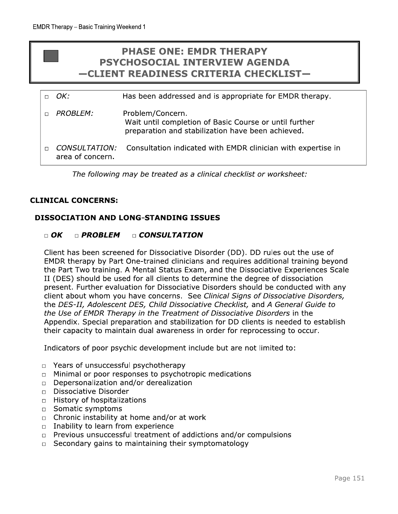# **PHASE ONE: EMDR THERAPY PSYCHOSOCIAL INTERVIEW AGENDA** -CLIENT READINESS CRITERIA CHECKLIST-

| $\Box$ $OK:$                             | Has been addressed and is appropriate for EMDR therapy.                                                                         |
|------------------------------------------|---------------------------------------------------------------------------------------------------------------------------------|
| PROBI FM:                                | Problem/Concern.<br>Wait until completion of Basic Course or until further<br>preparation and stabilization have been achieved. |
| <b>CONSULTATION:</b><br>area of concern. | Consultation indicated with EMDR clinician with expertise in                                                                    |

The following may be treated as a clinical checklist or worksheet:

#### **CLINICAL CONCERNS:**

#### **DISSOCIATION AND LONG-STANDING ISSUES**

#### $\Box$  OK  $\Box$  PROBLEM □ CONSULTATION

Client has been screened for Dissociative Disorder (DD). DD rules out the use of EMDR therapy by Part One-trained clinicians and requires additional training beyond the Part Two training. A Mental Status Exam, and the Dissociative Experiences Scale II (DES) should be used for all clients to determine the degree of dissociation present. Further evaluation for Dissociative Disorders should be conducted with any client about whom you have concerns. See Clinical Signs of Dissociative Disorders, the DES-II, Adolescent DES, Child Dissociative Checklist, and A General Guide to the Use of EMDR Therapy in the Treatment of Dissociative Disorders in the Appendix. Special preparation and stabilization for DD clients is needed to establish their capacity to maintain dual awareness in order for reprocessing to occur.

Indicators of poor psychic development include but are not limited to:

- Years of unsuccessful psychotherapy  $\Box$
- Minimal or poor responses to psychotropic medications  $\Box$
- Depersonalization and/or derealization  $\Box$
- Dissociative Disorder  $\Box$
- History of hospitalizations  $\Box$
- Somatic symptoms  $\Box$
- $\Box$  Chronic instability at home and/or at work
- Inability to learn from experience  $\Box$
- Previous unsuccessful treatment of addictions and/or compulsions  $\Box$
- Secondary gains to maintaining their symptomatology  $\Box$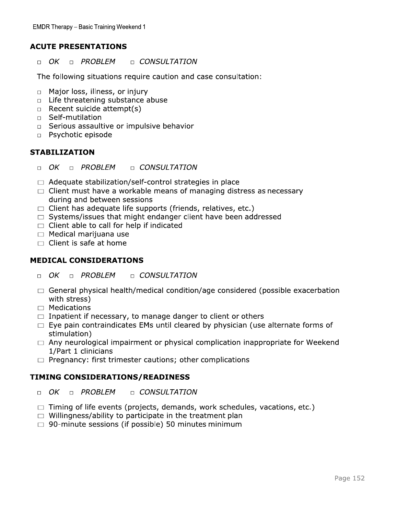### **ACUTE PRESENTATIONS**

 $\Box$  OK **DE CONSULTATION** D PROBLEM

The following situations require caution and case consultation:

- Major loss, illness, or injury  $\Box$
- $\Box$  Life threatening substance abuse
- $\Box$  Recent suicide attempt(s)
- G Self-mutilation
- □ Serious assaultive or impulsive behavior
- n Psychotic episode

#### **STABILIZATION**

- $\Box$  OK **DE** PROBLEM **D** CONSULTATION
- $\Box$  Adequate stabilization/self-control strategies in place
- $\Box$  Client must have a workable means of managing distress as necessary during and between sessions
- $\Box$  Client has adequate life supports (friends, relatives, etc.)
- $\Box$  Systems/issues that might endanger client have been addressed
- $\Box$  Client able to call for help if indicated
- $\Box$  Medical marijuana use
- $\Box$  Client is safe at home

#### **MEDICAL CONSIDERATIONS**

- $\Box$  OK D PROBLEM **CONSULTATION**
- $\Box$  General physical health/medical condition/age considered (possible exacerbation with stress)
- $\Box$  Medications
- $\Box$  Inpatient if necessary, to manage danger to client or others
- $\Box$  Eye pain contraindicates EMs until cleared by physician (use alternate forms of stimulation)
- $\Box$  Any neurological impairment or physical complication inappropriate for Weekend 1/Part 1 clinicians
- $\Box$  Pregnancy: first trimester cautions; other complications

#### **TIMING CONSIDERATIONS/READINESS**

- $\Box$  OK D PROBLEM **D** CONSULTATION
- $\Box$  Timing of life events (projects, demands, work schedules, vacations, etc.)
- $\Box$  Willingness/ability to participate in the treatment plan
- $\Box$  90-minute sessions (if possible) 50 minutes minimum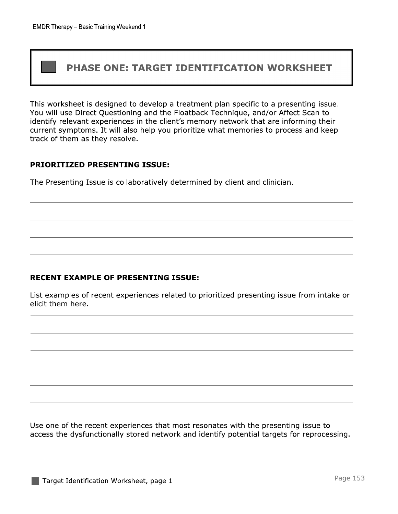# **PHASE ONE: TARGET IDENTIFICATION WORKSHEET**

This worksheet is designed to develop a treatment plan specific to a presenting issue. You will use Direct Questioning and the Floatback Technique, and/or Affect Scan to identify relevant experiences in the client's memory network that are informing their current symptoms. It will also help you prioritize what memories to process and keep track of them as they resolve.

#### **PRIORITIZED PRESENTING ISSUE:**

The Presenting Issue is collaboratively determined by client and clinician.

#### **RECENT EXAMPLE OF PRESENTING ISSUE:**

List examples of recent experiences related to prioritized presenting issue from intake or elicit them here.

Use one of the recent experiences that most resonates with the presenting issue to access the dysfunctionally stored network and identify potential targets for reprocessing.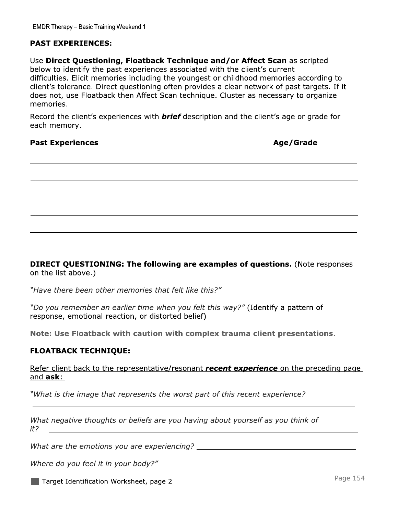#### **PAST EXPERIENCES:**

Use Direct Questioning, Floatback Technique and/or Affect Scan as scripted below to identify the past experiences associated with the client's current difficulties. Elicit memories including the youngest or childhood memories according to client's tolerance. Direct questioning often provides a clear network of past targets. If it does not, use Floatback then Affect Scan technique. Cluster as necessary to organize memories.

Record the client's experiences with **brief** description and the client's age or grade for each memory.

#### **Past Experiences**

Age/Grade

**DIRECT QUESTIONING: The following are examples of questions. (Note responses)** on the list above.)

"Have there been other memories that felt like this?"

"Do you remember an earlier time when you felt this way?" (Identify a pattern of response, emotional reaction, or distorted belief)

Note: Use Floatback with caution with complex trauma client presentations.

#### **FLOATBACK TECHNIQUE:**

Refer client back to the representative/resonant *recent experience* on the preceding page and  $ask:$ 

"What is the image that represents the worst part of this recent experience?

What negative thoughts or beliefs are you having about yourself as you think of  $it?$ 

Target Identification Worksheet, page 2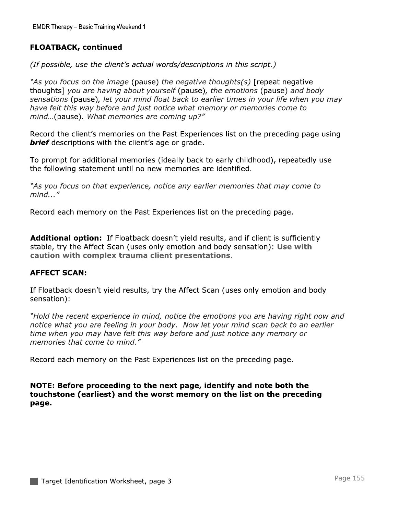### **FLOATBACK, continued**

(If possible, use the client's actual words/descriptions in this script.)

"As you focus on the image (pause) the negative thoughts(s) [repeat negative thoughts] you are having about yourself (pause), the emotions (pause) and body sensations (pause), let your mind float back to earlier times in your life when you may have felt this way before and just notice what memory or memories come to mind...(pause). What memories are coming up?"

Record the client's memories on the Past Experiences list on the preceding page using **brief** descriptions with the client's age or grade.

To prompt for additional memories (ideally back to early childhood), repeatedly use the following statement until no new memories are identified.

"As you focus on that experience, notice any earlier memories that may come to  $mind...$ "

Record each memory on the Past Experiences list on the preceding page.

**Additional option:** If Floatback doesn't yield results, and if client is sufficiently stable, try the Affect Scan (uses only emotion and body sensation): Use with caution with complex trauma client presentations.

#### **AFFECT SCAN:**

If Floatback doesn't yield results, try the Affect Scan (uses only emotion and body sensation):

"Hold the recent experience in mind, notice the emotions you are having right now and notice what you are feeling in your body. Now let your mind scan back to an earlier time when you may have felt this way before and just notice any memory or memories that come to mind."

Record each memory on the Past Experiences list on the preceding page.

NOTE: Before proceeding to the next page, identify and note both the touchstone (earliest) and the worst memory on the list on the preceding page.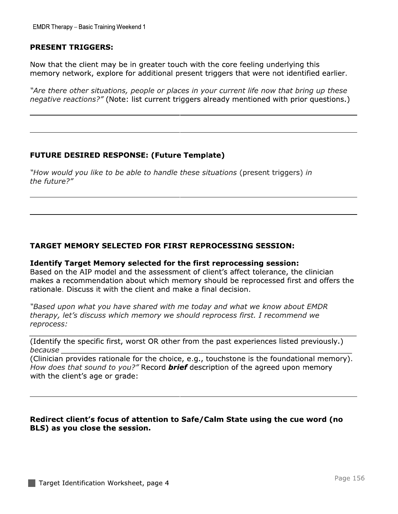EMDR Therapy – Basic Training Weekend 1<br>
PRESENT TRIGGERS:<br>
Now that the client may be in greate<br>
memory network, explore for additic<br>
"Are there other situations, people of<br>
negative reactions?" (Note: list curre lyow that the client may be in greater touch with the core feeling underlying this memory network, explore for additional present triggers that were not identified earlier.

i<br>Li "Are there other situations, people or places in your current life how that bring up these negative reactions?" (Note: list current triggers aiready mentioned with prior questions.)

\\\\\\\\\\\\\\\\\\\\\\\\\\\\\\\\\\\\\\\\\\\\\\\\\\\\\\\\\\\\\\\\\\\\\\\\

\\\\\\\\\\\\\\\\\\\\\\\\\\\\\\\\\\\\\\\\\\\\\\\\\\\\\\\\\\\\\\\\\\\\\\\\

# FUTURE DESIRED RESPONSE: (FUTURE TEMPIATE)

i. "How would you like to be able to handle these situations (present triggers) in the future?"

#### **TARGET MEMORY SELECTED FOR FIRST REPROCESSING SESSION:**

TARGET MEMORY SELECTED FOR FIRST REPROCESSING SESSION:<br>
Identify Target Memory selected for the first reprocessing session:<br>
Based on the AIP model and the assessment of client's affect tolerance, the clinician<br>
makes a re

"Based upon what you have shared with me today and what we know about EMDR therapy, let's discuss which memory we should reprocess first. I recommend we reprocess:

<u> 1989 - Johann Stoff, deutscher Stoff aus der Stoff aus der Stoff aus der Stoff aus der Stoff aus der Stoff aus</u> Udentify the specific first, worst OR other from the past experiences listed previously.) SBOJIGBCC

(Clinician provides rationale for the choice, e.g., touchstone is the foundational memory). *How does that sound to you?"* Record *brier* description of the agreed upon memory with the client's age or grade:

\\\\\\\\\\\\\\\\\\\\\\\\\\\\\\\\\\\\\\\\\\\\\\\\\\\\\\\\\\\\\\\\\\\\\\\\

#### Redirect client's focus of attention to Safe/Calm State using the cue word (no BLS) as you close the session.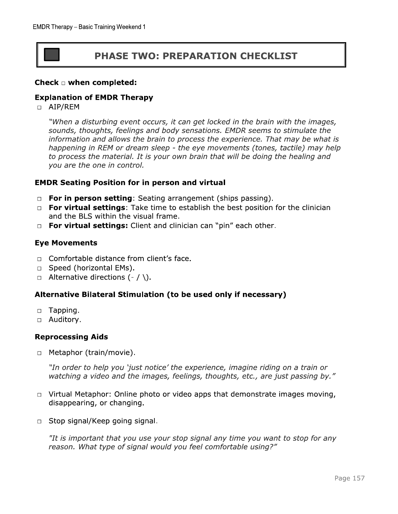# **PHASE TWO: PREPARATION CHECKLIST**

#### Check  $\square$  when completed:

#### **Explanation of EMDR Therapy**

□ AIP/REM

"When a disturbing event occurs, it can get locked in the brain with the images, sounds, thoughts, feelings and body sensations. EMDR seems to stimulate the information and allows the brain to process the experience. That may be what is happening in REM or dream sleep - the eye movements (tones, tactile) may help to process the material. It is your own brain that will be doing the healing and you are the one in control.

#### **EMDR Seating Position for in person and virtual**

- □ For in person setting: Seating arrangement (ships passing).
- □ For virtual settings: Take time to establish the best position for the clinician and the BLS within the visual frame.
- □ For virtual settings: Client and clinician can "pin" each other.

#### **Eye Movements**

- $\Box$  Comfortable distance from client's face.
- □ Speed (horizontal EMs).
- $\Box$  Alternative directions (- / \).

#### Alternative Bilateral Stimulation (to be used only if necessary)

- $\Box$  Tapping.
- □ Auditory.

#### **Reprocessing Aids**

□ Metaphor (train/movie).

"In order to help you 'just notice' the experience, imagine riding on a train or watching a video and the images, feelings, thoughts, etc., are just passing by."

- $\Box$  Virtual Metaphor: Online photo or video apps that demonstrate images moving, disappearing, or changing.
- □ Stop signal/Keep going signal.

"It is important that you use your stop signal any time you want to stop for any reason. What type of signal would you feel comfortable using?"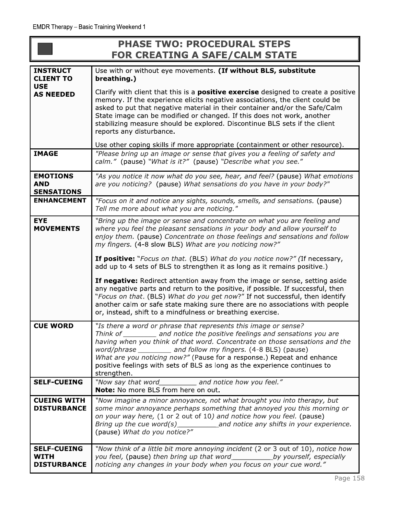|                                                         | <b>PHASE TWO: PROCEDURAL STEPS</b><br><b>FOR CREATING A SAFE/CALM STATE</b>                                                                                                                                                                                                                                                                                                                                                                                         |
|---------------------------------------------------------|---------------------------------------------------------------------------------------------------------------------------------------------------------------------------------------------------------------------------------------------------------------------------------------------------------------------------------------------------------------------------------------------------------------------------------------------------------------------|
| <b>INSTRUCT</b><br><b>CLIENT TO</b>                     | Use with or without eye movements. (If without BLS, substitute<br>breathing.)                                                                                                                                                                                                                                                                                                                                                                                       |
| <b>USE</b><br><b>AS NEEDED</b>                          | Clarify with client that this is a <b>positive exercise</b> designed to create a positive<br>memory. If the experience elicits negative associations, the client could be<br>asked to put that negative material in their container and/or the Safe/Calm<br>State image can be modified or changed. If this does not work, another<br>stabilizing measure should be explored. Discontinue BLS sets if the client<br>reports any disturbance.                        |
|                                                         | Use other coping skills if more appropriate (containment or other resource).                                                                                                                                                                                                                                                                                                                                                                                        |
| <b>IMAGE</b>                                            | "Please bring up an image or sense that gives you a feeling of safety and<br>calm." (pause) "What is it?" (pause) "Describe what you see."                                                                                                                                                                                                                                                                                                                          |
| <b>EMOTIONS</b><br><b>AND</b><br><b>SENSATIONS</b>      | "As you notice it now what do you see, hear, and feel? (pause) What emotions<br>are you noticing? (pause) What sensations do you have in your body?"                                                                                                                                                                                                                                                                                                                |
| <b>ENHANCEMENT</b>                                      | "Focus on it and notice any sights, sounds, smells, and sensations. (pause)<br>Tell me more about what you are noticing."                                                                                                                                                                                                                                                                                                                                           |
| <b>EYE</b><br><b>MOVEMENTS</b>                          | "Bring up the image or sense and concentrate on what you are feeling and<br>where you feel the pleasant sensations in your body and allow yourself to<br>enjoy them. (pause) Concentrate on those feelings and sensations and follow<br>my fingers. (4-8 slow BLS) What are you noticing now?"                                                                                                                                                                      |
|                                                         | <b>If positive:</b> "Focus on that. (BLS) What do you notice now?" (If necessary,<br>add up to 4 sets of BLS to strengthen it as long as it remains positive.)                                                                                                                                                                                                                                                                                                      |
|                                                         | If negative: Redirect attention away from the image or sense, setting aside<br>any negative parts and return to the positive, if possible. If successful, then<br>"Focus on that. (BLS) What do you get now?" If not successful, then identify<br>another calm or safe state making sure there are no associations with people<br>or, instead, shift to a mindfulness or breathing exercise.                                                                        |
| <b>CUE WORD</b>                                         | "Is there a word or phrase that represents this image or sense?<br>Think of _________ and notice the positive feelings and sensations you are<br>having when you think of that word. Concentrate on those sensations and the<br>word/phrase ________ and follow my fingers. (4-8 BLS) (pause)<br>What are you noticing now?" (Pause for a response.) Repeat and enhance<br>positive feelings with sets of BLS as long as the experience continues to<br>strengthen. |
| <b>SELF-CUEING</b>                                      | "Now say that word____________ and notice how you feel."<br><b>Note:</b> No more BLS from here on out.                                                                                                                                                                                                                                                                                                                                                              |
| <b>CUEING WITH</b><br><b>DISTURBANCE</b>                | "Now imagine a minor annoyance, not what brought you into therapy, but<br>some minor annoyance perhaps something that annoyed you this morning or<br>on your way here, (1 or 2 out of 10) and notice how you feel. (pause)<br>(pause) What do you notice?"                                                                                                                                                                                                          |
| <b>SELF-CUEING</b><br><b>WITH</b><br><b>DISTURBANCE</b> | "Now think of a little bit more annoying incident (2 or 3 out of 10), notice how<br>you feel, (pause) then bring up that word_________________by yourself, especially<br>noticing any changes in your body when you focus on your cue word."                                                                                                                                                                                                                        |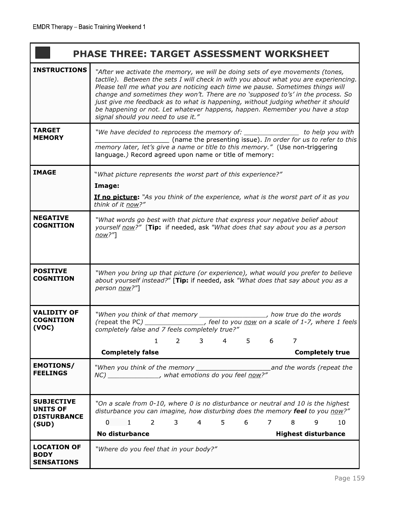'n

|                                      | <b>PHASE THREE: TARGET ASSESSMENT WORKSHEET</b>                                                                                                                                                                                                                                                                                                                                                                                                                                                                                                      |
|--------------------------------------|------------------------------------------------------------------------------------------------------------------------------------------------------------------------------------------------------------------------------------------------------------------------------------------------------------------------------------------------------------------------------------------------------------------------------------------------------------------------------------------------------------------------------------------------------|
| <b>INSTRUCTIONS</b>                  | "After we activate the memory, we will be doing sets of eye movements (tones,<br>tactile). Between the sets I will check in with you about what you are experiencing.<br>Please tell me what you are noticing each time we pause. Sometimes things will<br>change and sometimes they won't. There are no 'supposed to's' in the process. So<br>just give me feedback as to what is happening, without judging whether it should<br>be happening or not. Let whatever happens, happen. Remember you have a stop<br>signal should you need to use it." |
| TARGET<br><b>MEMORY</b>              | "We have decided to reprocess the memory of: ________________ to help you with<br>(name the presenting issue). In order for us to refer to this<br>memory later, let's give a name or title to this memory." (Use non-triggering<br>language.) Record agreed upon name or title of memory:                                                                                                                                                                                                                                                           |
| <b>IMAGE</b>                         | "What picture represents the worst part of this experience?"                                                                                                                                                                                                                                                                                                                                                                                                                                                                                         |
|                                      | Image:                                                                                                                                                                                                                                                                                                                                                                                                                                                                                                                                               |
|                                      | If no picture: "As you think of the experience, what is the worst part of it as you<br>think of it now?"                                                                                                                                                                                                                                                                                                                                                                                                                                             |
| <b>NEGATIVE</b><br><b>COGNITION</b>  | "What words go best with that picture that express your negative belief about<br>yourself now?" [Tip: if needed, ask "What does that say about you as a person<br>now?"]                                                                                                                                                                                                                                                                                                                                                                             |
| POSITIVE<br><b>COGNITION</b>         | "When you bring up that picture (or experience), what would you prefer to believe<br>about yourself instead?" [Tip: if needed, ask "What does that say about you as a<br>person now?"]                                                                                                                                                                                                                                                                                                                                                               |
| <b>VALIDITY OF</b>                   | "When you think of that memory ____________________, how true do the words<br>(repeat the PC) _________________, feel to you now on a scale of 1-7, where 1 feels                                                                                                                                                                                                                                                                                                                                                                                    |
| <b>COGNITION</b><br>(VOC)            | completely false and 7 feels completely true?"                                                                                                                                                                                                                                                                                                                                                                                                                                                                                                       |
|                                      | $\overline{2}$<br>3<br>5<br>7<br>4<br>1<br>6                                                                                                                                                                                                                                                                                                                                                                                                                                                                                                         |
|                                      | <b>Completely false</b><br><b>Completely true</b>                                                                                                                                                                                                                                                                                                                                                                                                                                                                                                    |
| <b>EMOTIONS/</b><br><b>FEELINGS</b>  | "When you think of the memory ___________________________and the words (repeat the<br>NC) _______________, what emotions do you feel now?"                                                                                                                                                                                                                                                                                                                                                                                                           |
| <b>SUBJECTIVE</b><br><b>UNITS OF</b> | "On a scale from 0-10, where 0 is no disturbance or neutral and 10 is the highest                                                                                                                                                                                                                                                                                                                                                                                                                                                                    |
| <b>DISTURBANCE</b>                   | disturbance you can imagine, how disturbing does the memory feel to you now?"                                                                                                                                                                                                                                                                                                                                                                                                                                                                        |
| (SUD)                                | 4 5 6<br>$0 \t1$<br>$2 \left( \frac{1}{2} \right)$<br>3<br>$7 -$<br>10<br>8<br>9<br><b>No disturbance</b><br><b>Highest disturbance</b>                                                                                                                                                                                                                                                                                                                                                                                                              |
| <b>LOCATION OF</b>                   |                                                                                                                                                                                                                                                                                                                                                                                                                                                                                                                                                      |
| <b>BODY</b><br><b>SENSATIONS</b>     | "Where do you feel that in your body?"                                                                                                                                                                                                                                                                                                                                                                                                                                                                                                               |

Ŧ.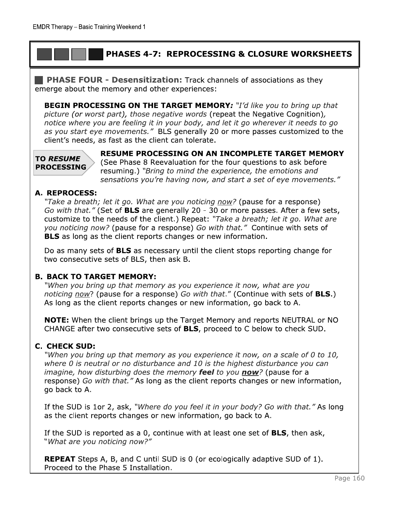### **PHASES 4-7: REPROCESSING & CLOSURE WORKSHEETS**

**PHASE FOUR - Desensitization:** Track channels of associations as they emerge about the memory and other experiences:

**BEGIN PROCESSING ON THE TARGET MEMORY:** "I'd like you to bring up that picture (or worst part), those negative words (repeat the Negative Cognition), notice where you are feeling it in your body, and let it go wherever it needs to go as you start eye movements." BLS generally 20 or more passes customized to the client's needs, as fast as the client can tolerate.

#### **TO RESUME PROCESSING**

RESUME PROCESSING ON AN INCOMPLETE TARGET MEMORY (See Phase 8 Reevaluation for the four questions to ask before resuming.) "Bring to mind the experience, the emotions and sensations you're having now, and start a set of eye movements."

#### A. REPROCESS:

"Take a breath; let it go. What are you noticing now? (pause for a response) Go with that." (Set of BLS are generally 20 - 30 or more passes. After a few sets, customize to the needs of the client.) Repeat: "Take a breath; let it go. What are you noticing now? (pause for a response) Go with that." Continue with sets of BLS as long as the client reports changes or new information.

Do as many sets of **BLS** as necessary until the client stops reporting change for two consecutive sets of BLS, then ask B.

#### **B. BACK TO TARGET MEMORY:**

"When you bring up that memory as you experience it now, what are you noticing now? (pause for a response) Go with that." (Continue with sets of **BLS.**) As long as the client reports changes or new information, go back to A.

**NOTE:** When the client brings up the Target Memory and reports NEUTRAL or NO CHANGE after two consecutive sets of BLS, proceed to C below to check SUD.

#### **C. CHECK SUD:**

"When you bring up that memory as you experience it now, on a scale of 0 to 10, where 0 is neutral or no disturbance and 10 is the highest disturbance you can imagine, how disturbing does the memory feel to you now? (pause for a response) Go with that." As long as the client reports changes or new information, go back to A.

If the SUD is 1or 2, ask, "Where do you feel it in your body? Go with that." As long as the client reports changes or new information, go back to A.

If the SUD is reported as a 0, continue with at least one set of BLS, then ask, "What are you noticing now?"

**REPEAT** Steps A, B, and C until SUD is 0 (or ecologically adaptive SUD of 1). Proceed to the Phase 5 Installation.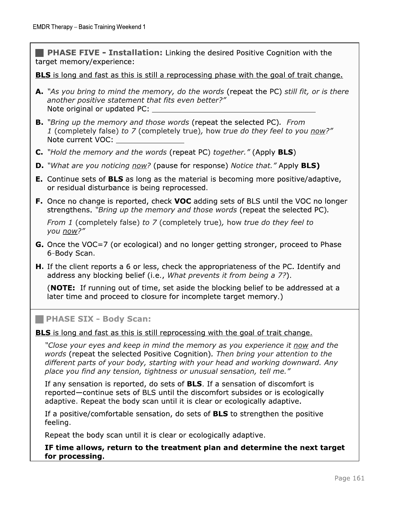the desired Positive Cognition with the target memory/experience:

<u>BLS is long and fast as this is still a reprocessing phase with the goal of trait change.</u>

- EMDR Therapy Basic Training Weekend 1<br> **PHASE FIVE Installation:** Linking<br>
target memory/experience:<br> **BLS** is long and fast as this is still a reproce<br> **A.** "As you bring to mind the memory, do the<br>
another positive s A. "As you bring to mind the memory, do the words (repeat the PC) still fit, or is there another positive statement that fits even better?" h:5:92-23G:9iB757<Djjjjjjjjjjjjjjjjjjjjjjjjjjjjjjjjjjjj
	- **B.** "Bring up the memory and those words (repeat the selected PC). From 1 (completely false) to 7 (completely true), how true do they feel to you now?" Note current VOC:
	- C. "Hold the memory and the words (repeat PC) together." (Apply  $BLS$ )
	- **D.** "What are you noticing now? (pause for response) Notice that." Apply **BLS)**
	- **E.** Continue sets of **BLS** as long as the material is becoming more positive/adaptive, or residual disturbance is being reprocessed.<br>. ory and the words (repeat PC) together.<br>
	noticing now? (pause for response) Notion<br>
	of **BLS** as long as the material is becomin<br>
	urbance is being reprocessed.<br>
	e is reported, check **VOC** adding sets of<br>
	Bring up the memory
	- **F.** Once no change is reported, check **voc** adding sets of BLS until the VOC no longer strengthens. *"Bring up the memory and those words* (repeat the selected PC).

From 1 (completely false) to 7 (completely true), how true do they feel to you now?"

- **G.** Once the VOC=7 (or ecological) and no longer getting stronger, proceed to Phase 6-Body Scan.
- **H.** If the client reports a 6 or less, check the appropriateness of the PC. Identify and address any blocking bellef (i.e., *what prevents it from being a 7?*).

(**NOTE:** If running out of time, set aside the blocking belief to be addressed at a later time and proceed to closure for incomplete target memory.)

#### **E PHASE SIX - Body Scan:**

<u>BLS is long and fast as this is still reprocessing with the goal of trait change.</u>

"Close your eyes and keep in mind the memory as you experience it now and the words (repeat the selected Positive Cognition). Then bring your attention to the different parts of your body, starting with your head and working downward. Any place you find any tension, tightness or unusual sensation, tell me."

If any sensation is reported, do sets of **BLS**. If a sensation of discomfort is reported—continue sets of BLS until the discomfort subsides or is ecologically adaptive. Repeat the body scan until it is clear or ecologically adaptive.

If a positive/comfortable sensation, do sets of **BLS** to strengthen the positive reeling.

Repeat the body scan until it is clear or ecologically adaptive.

IF time allows, return to the treatment plan and determine the next target for processing.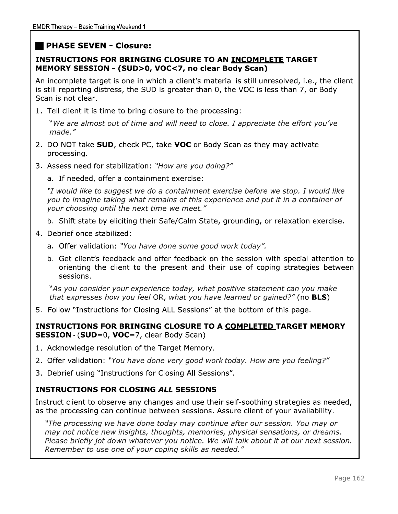## **PHASE SEVEN - Closure:**

#### **INSTRUCTIONS FOR BRINGING CLOSURE TO AN INCOMPLETE TARGET** MEMORY SESSION - (SUD>0, VOC<7, no clear Body Scan)

An incomplete target is one in which a client's material is still unresolved, i.e., the client is still reporting distress, the SUD is greater than 0, the VOC is less than 7, or Body Scan is not clear.

1. Tell client it is time to bring closure to the processing:

"We are almost out of time and will need to close. I appreciate the effort you've made."

- 2. DO NOT take SUD, check PC, take VOC or Body Scan as they may activate processing.
- 3. Assess need for stabilization: "How are you doing?"
	- a. If needed, offer a containment exercise:

"I would like to suggest we do a containment exercise before we stop. I would like you to imagine taking what remains of this experience and put it in a container of your choosing until the next time we meet."

- b. Shift state by eliciting their Safe/Calm State, grounding, or relaxation exercise.
- 4. Debrief once stabilized:
	- a. Offer validation: "You have done some good work today".
	- b. Get client's feedback and offer feedback on the session with special attention to orienting the client to the present and their use of coping strategies between sessions.

"As you consider your experience today, what positive statement can you make that expresses how you feel OR, what you have learned or gained?" (no BLS)

5. Follow "Instructions for Closing ALL Sessions" at the bottom of this page.

#### INSTRUCTIONS FOR BRINGING CLOSURE TO A COMPLETED TARGET MEMORY **SESSION - (SUD=0, VOC=7, clear Body Scan)**

- 1. Acknowledge resolution of the Target Memory.
- 2. Offer validation: "You have done very good work today. How are you feeling?"
- 3. Debrief using "Instructions for Closing All Sessions".

### **INSTRUCTIONS FOR CLOSING ALL SESSIONS**

Instruct client to observe any changes and use their self-soothing strategies as needed, as the processing can continue between sessions. Assure client of your availability.

"The processing we have done today may continue after our session. You may or may not notice new insights, thoughts, memories, physical sensations, or dreams. Please briefly jot down whatever you notice. We will talk about it at our next session. Remember to use one of your coping skills as needed."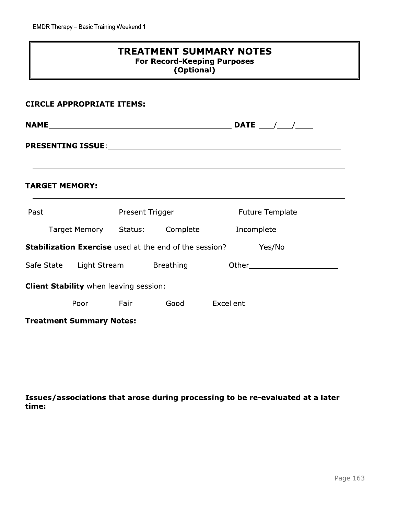|                                               | <b>TREATMENT SUMMARY NOTES</b><br><b>For Record-Keeping Purposes</b><br>(Optional) |                 |                                                               |                        |  |  |  |
|-----------------------------------------------|------------------------------------------------------------------------------------|-----------------|---------------------------------------------------------------|------------------------|--|--|--|
| <b>CIRCLE APPROPRIATE ITEMS:</b>              |                                                                                    |                 |                                                               |                        |  |  |  |
|                                               |                                                                                    |                 |                                                               |                        |  |  |  |
|                                               |                                                                                    |                 |                                                               |                        |  |  |  |
| <b>TARGET MEMORY:</b>                         |                                                                                    |                 |                                                               |                        |  |  |  |
| Past                                          |                                                                                    | Present Trigger |                                                               | <b>Future Template</b> |  |  |  |
|                                               | Target Memory Status: Complete                                                     |                 |                                                               | Incomplete             |  |  |  |
|                                               |                                                                                    |                 | <b>Stabilization Exercise</b> used at the end of the session? | Yes/No                 |  |  |  |
| Safe State Light Stream Breathing             |                                                                                    |                 |                                                               |                        |  |  |  |
| <b>Client Stability</b> when leaving session: |                                                                                    |                 |                                                               |                        |  |  |  |
|                                               | Poor                                                                               | Fair            | Good                                                          | Excellent              |  |  |  |
| <b>Treatment Summary Notes:</b>               |                                                                                    |                 |                                                               |                        |  |  |  |

Issues/associations that arose during processing to be re-evaluated at a later time: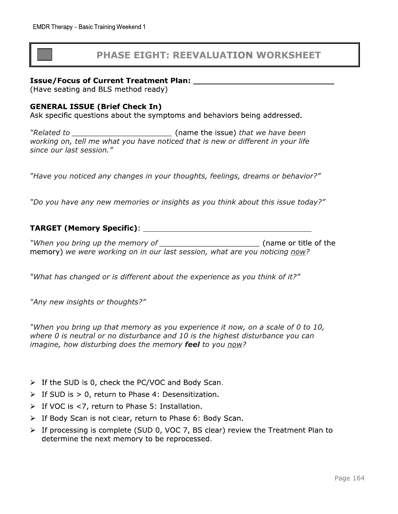# **PHASE EIGHT: REEVALUATION WORKSHEET**

#### **Issue/Focus of Current Treatment Plan:**

(Have seating and BLS method ready)

#### **GENERAL ISSUE (Brief Check In)**

Ask specific questions about the symptoms and behaviors being addressed.

(name the issue) that we have been *"Related to* working on, tell me what you have noticed that is new or different in your life since our last session."

"Have you noticed any changes in your thoughts, feelings, dreams or behavior?"

"Do you have any new memories or insights as you think about this issue today?"

#### 

"When you bring up the memory of (name or title of the memory) we were working on in our last session, what are you noticing now?

"What has changed or is different about the experience as you think of it?"

"Any new insights or thoughts?"

"When you bring up that memory as you experience it now, on a scale of 0 to 10, where 0 is neutral or no disturbance and 10 is the highest disturbance you can imagine, how disturbing does the memory feel to you now?

- $\triangleright$  If the SUD is 0, check the PC/VOC and Body Scan.
- $\triangleright$  If SUD is  $> 0$ , return to Phase 4: Desensitization.
- $\triangleright$  If VOC is <7, return to Phase 5: Installation.
- > If Body Scan is not clear, return to Phase 6: Body Scan.
- > If processing is complete (SUD 0, VOC 7, BS clear) review the Treatment Plan to determine the next memory to be reprocessed.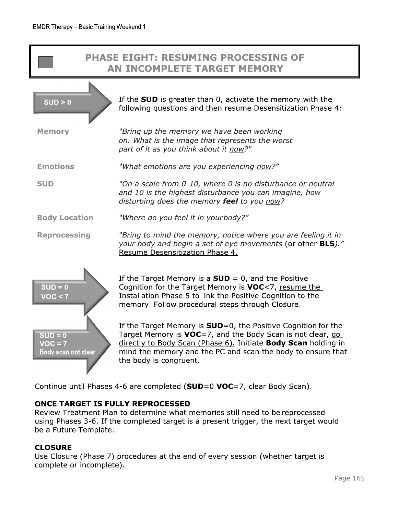# **PHASE EIGHT: RESUMING PROCESSING OF** AN INCOMPLETE TARGET MEMORY

|                                               | If the <b>SUD</b> is greater than 0, activate the memory with the                                                                                                                                                                                                                         |
|-----------------------------------------------|-------------------------------------------------------------------------------------------------------------------------------------------------------------------------------------------------------------------------------------------------------------------------------------------|
| SUB > 0                                       | following questions and then resume Desensitization Phase 4:                                                                                                                                                                                                                              |
| <b>Memory</b>                                 | "Bring up the memory we have been working<br>on. What is the image that represents the worst<br>part of it as you think about it now?"                                                                                                                                                    |
| <b>Emotions</b>                               | "What emotions are you experiencing now?"                                                                                                                                                                                                                                                 |
| <b>SUD</b>                                    | "On a scale from 0-10, where 0 is no disturbance or neutral<br>and 10 is the highest disturbance you can imagine, how<br>disturbing does the memory feel to you now?                                                                                                                      |
| <b>Body Location</b>                          | "Where do you feel it in yourbody?"                                                                                                                                                                                                                                                       |
| <b>Reprocessing</b>                           | "Bring to mind the memory, notice where you are feeling it in<br>your body and begin a set of eye movements (or other BLS)."<br>Resume Desensitization Phase 4.                                                                                                                           |
| $SUB = 0$<br>VOC < 7                          | If the Target Memory is a $SUB = 0$ , and the Positive<br>Cognition for the Target Memory is VOC<7, resume the<br>Installation Phase 5 to link the Positive Cognition to the<br>memory. Follow procedural steps through Closure.                                                          |
| $SUB = 0$<br>$VOC = 7$<br>Body scan not clear | If the Target Memory is $SUB=0$ , the Positive Cognition for the<br>Target Memory is VOC=7, and the Body Scan is not clear, go<br>directly to Body Scan (Phase 6). Initiate Body Scan holding in<br>mind the memory and the PC and scan the body to ensure that<br>the body is congruent. |

Continue until Phases 4-6 are completed (SUD=0 VOC=7, clear Body Scan).

#### **ONCE TARGET IS FULLY REPROCESSED**

Review Treatment Plan to determine what memories still need to be reprocessed using Phases 3-6. If the completed target is a present trigger, the next target would be a Future Template.

#### **CLOSURE**

Use Closure (Phase 7) procedures at the end of every session (whether target is complete or incomplete).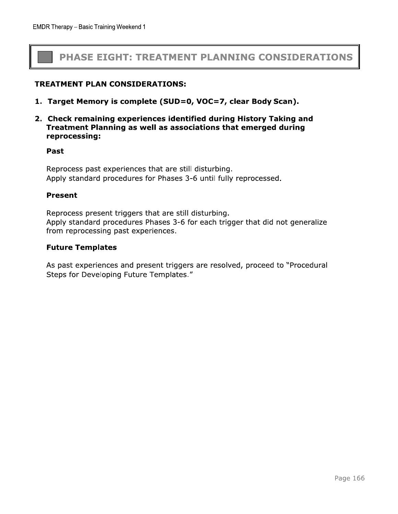# PHASE EIGHT: TREATMENT PLANNING CONSIDERATIONS

#### **TREATMENT PLAN CONSIDERATIONS:**

- 1. Target Memory is complete (SUD=0, VOC=7, clear Body Scan).
- 2. Check remaining experiences identified during History Taking and Treatment Planning as well as associations that emerged during reprocessing:

#### Past

Reprocess past experiences that are still disturbing. Apply standard procedures for Phases 3-6 until fully reprocessed.

#### **Present**

Reprocess present triggers that are still disturbing. Apply standard procedures Phases 3-6 for each trigger that did not generalize from reprocessing past experiences.

#### **Future Templates**

As past experiences and present triggers are resolved, proceed to "Procedural Steps for Developing Future Templates."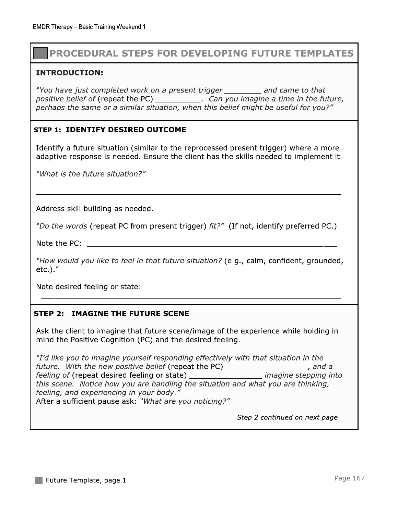# **PROCEDURAL STEPS FOR DEVELOPING FUTURE TEMPLATES**

#### **INTRODUCTION:**

"You have just completed work on a present trigger and came to that positive belief of (repeat the PC) \_\_\_\_\_\_\_\_\_\_\_\_. Can you imagine a time in the future, perhaps the same or a similar situation, when this belief might be useful for you?"

#### **STEP 1: IDENTIFY DESIRED OUTCOME**

Identify a future situation (similar to the reprocessed present trigger) where a more adaptive response is needed. Ensure the client has the skills needed to implement it.

"What is the future situation?"

Address skill building as needed.

"Do the words (repeat PC from present trigger) fit?" (If not, identify preferred PC.)

Note the PC: Note that the PC:

"How would you like to feel in that future situation? (e.g., calm, confident, grounded,  $etc.$ )."

Note desired feeling or state:

#### **STEP 2: IMAGINE THE FUTURE SCENE**

Ask the client to imagine that future scene/image of the experience while holding in mind the Positive Cognition (PC) and the desired feeling.

"I'd like you to imagine yourself responding effectively with that situation in the future. With the new positive belief (repeat the PC) \_\_\_\_\_\_\_\_\_\_\_\_\_\_\_\_\_\_, and a feeling of (repeat desired feeling or state) *imagine stepping into* this scene. Notice how you are handling the situation and what you are thinking, feeling, and experiencing in your body." After a sufficient pause ask: "What are you noticing?"

Step 2 continued on next page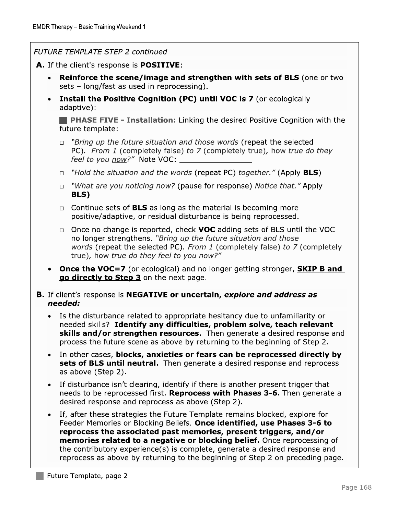#### **FUTURE TEMPLATE STEP 2 continued**

A. If the client's response is **POSITIVE**:

- **Reinforce the scene/image and strengthen with sets of BLS** (one or two sets - long/fast as used in reprocessing).
- **Install the Positive Cognition (PC) until VOC is 7** (or ecologically  $\bullet$ adaptive):

**PHASE FIVE - Installation:** Linking the desired Positive Cognition with the future template:

- $\Box$  "Bring up the future situation and those words (repeat the selected PC). From 1 (completely false) to 7 (completely true), how true do they feel to you now?" Note VOC: \_
- "Hold the situation and the words (repeat PC) together." (Apply **BLS**)  $\Box$
- □ "What are you noticing now? (pause for response) Notice that." Apply BLS)
- $\Box$  Continue sets of **BLS** as long as the material is becoming more positive/adaptive, or residual disturbance is being reprocessed.
- $\Box$  Once no change is reported, check **VOC** adding sets of BLS until the VOC no longer strengthens. "Bring up the future situation and those words (repeat the selected PC). From 1 (completely false) to 7 (completely true), how true do they feel to you now?"
- Once the VOC=7 (or ecological) and no longer getting stronger, SKIP B and go directly to Step 3 on the next page.
- **B.** If client's response is **NEGATIVE or uncertain, explore and address as** needed:
	- Is the disturbance related to appropriate hesitancy due to unfamiliarity or  $\bullet$ needed skills? Identify any difficulties, problem solve, teach relevant skills and/or strengthen resources. Then generate a desired response and process the future scene as above by returning to the beginning of Step 2.
	- In other cases, blocks, anxieties or fears can be reprocessed directly by sets of BLS until neutral. Then generate a desired response and reprocess as above (Step 2).
	- If disturbance isn't clearing, identify if there is another present trigger that needs to be reprocessed first. Reprocess with Phases 3-6. Then generate a desired response and reprocess as above (Step 2).
	- If, after these strategies the Future Template remains blocked, explore for Feeder Memories or Blocking Beliefs. Once identified, use Phases 3-6 to reprocess the associated past memories, present triggers, and/or memories related to a negative or blocking belief. Once reprocessing of the contributory experience(s) is complete, generate a desired response and reprocess as above by returning to the beginning of Step 2 on preceding page.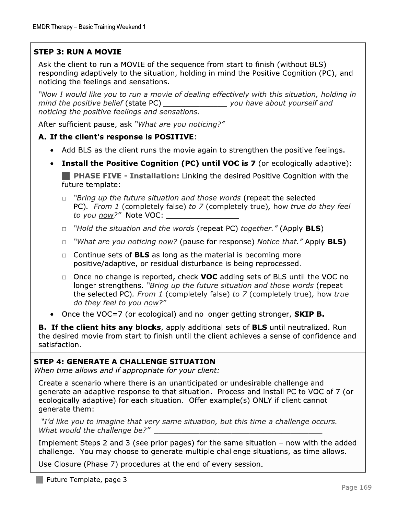# $\sqrt{2}$

EMDR Therapy – Basic Training Weekend 1<br>
STEP 3: RUN A MOVIE<br>
Ask the client to run a MOVIE of the sequence from start to finish (without BLS)<br>
responding adaptively to the situation, holding in mind the Positive Cognition

#### A. If the client's response is POSITIVE:

- Add BLS as the client runs the movie again to strengthen the positive feelings.
- $\bullet$ **Install the Positive Cognition (PC) until VOC is 7** (or ecologically adaptive): **E. PHASE FIVE - Installation:** Linking the desired Positive Cognition with the future template:
	- $\Box$  "Bring up the future situation and those words (repeat the selected PC). From 1 (completely false) to 7 (completely true), how true do they feel to you now?" Note VOC:
	- $\Box$  "Hold the situation and the words (repeat PC) together." (Apply BLS)
	- "What are you noticing now? (pause for response) Notice that." Apply **BLS)**  $\Box$
	- $\Box$  Continue sets of BLS as long as the material is becoming more positive/adaptive, or residual disturbance is being reprocessed.
	- $\Box$  Once no change is reported, check **VOC** adding sets of BLS until the VOC no longer strengthens. "Bring up the future situation and those words (repeat the selected PC). From 1 (completely false) to 7 (completely true), how true do they feel to you now?"
- Once the VOC=7 (or ecological) and no longer getting stronger, **SKIP B.**

**B. If the client hits any blocks**, apply additional sets of **BLS** until neutralized. Run the desired movie from start to finish until the client achieves a sense of confidence and satisfaction.

the selected PC). *From* 1 (completely raise) to  $\ell$  (completely true), how true<br>
do they feel to you <u>now</u>?"<br>
• Once the VOC=7 (or ecological) and no longer getting stronger, **SKIP B.**<br> **B.** If the client hits any block

Implement Steps 2 and 3 (see prior pages) for the same situation  $-$  now with the added challenge. You may choose to generate multiple challenge situations, as time allows.

Use Closure (Phase 7) procedures at the end of every session.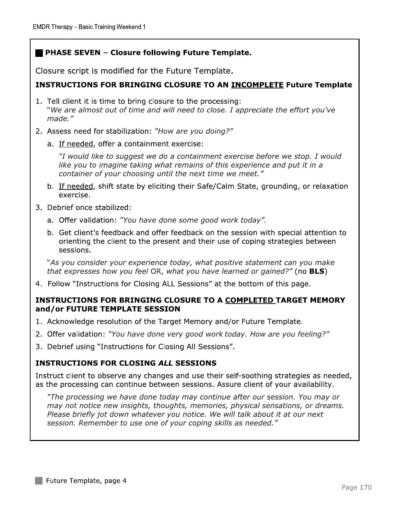### PHASE SEVEN - Closure following Future Template.

Closure script is modified for the Future Template.

#### **INSTRUCTIONS FOR BRINGING CLOSURE TO AN INCOMPLETE Future Template**

- 1. Tell client it is time to bring closure to the processing: "We are almost out of time and will need to close. I appreciate the effort you've made."
- 2. Assess need for stabilization: "How are you doing?"
	- a. If needed, offer a containment exercise:

"I would like to suggest we do a containment exercise before we stop. I would like you to imagine taking what remains of this experience and put it in a container of your choosing until the next time we meet."

- b. If needed, shift state by eliciting their Safe/Calm State, grounding, or relaxation exercise.
- 3. Debrief once stabilized:
	- a. Offer validation: "You have done some good work today".
	- b. Get client's feedback and offer feedback on the session with special attention to orienting the client to the present and their use of coping strategies between sessions.

"As you consider your experience today, what positive statement can you make that expresses how you feel OR, what you have learned or gained?" (no BLS)

4. Follow "Instructions for Closing ALL Sessions" at the bottom of this page.

#### **INSTRUCTIONS FOR BRINGING CLOSURE TO A COMPLETED TARGET MEMORY** and/or FUTURE TEMPLATE SESSION

- 1. Acknowledge resolution of the Target Memory and/or Future Template.
- 2. Offer validation: "You have done very good work today. How are you feeling?"
- 3. Debrief using "Instructions for Closing All Sessions".

#### **INSTRUCTIONS FOR CLOSING ALL SESSIONS**

Instruct client to observe any changes and use their self-soothing strategies as needed, as the processing can continue between sessions. Assure client of your availability.

"The processing we have done today may continue after our session. You may or may not notice new insights, thoughts, memories, physical sensations, or dreams. Please briefly jot down whatever you notice. We will talk about it at our next session. Remember to use one of your coping skills as needed."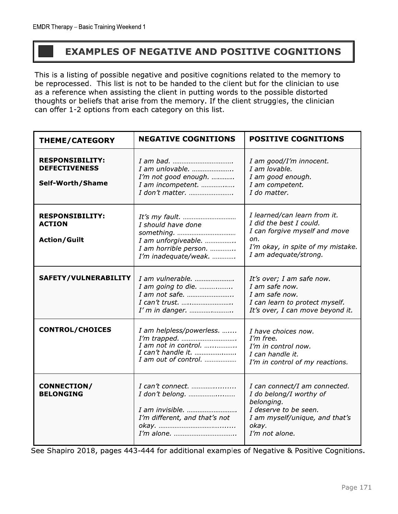# **EXAMPLES OF NEGATIVE AND POSITIVE COGNITIONS**

This is a listing of possible negative and positive cognitions related to the memory to be reprocessed. This list is not to be handed to the client but for the clinician to use as a reference when assisting the client in putting words to the possible distorted thoughts or beliefs that arise from the memory. If the client struggles, the clinician can offer 1-2 options from each category on this list.

| <b>THEME/CATEGORY</b>                                              | <b>NEGATIVE COGNITIONS</b>                                                                                       | <b>POSITIVE COGNITIONS</b>                                                                                                                                    |  |
|--------------------------------------------------------------------|------------------------------------------------------------------------------------------------------------------|---------------------------------------------------------------------------------------------------------------------------------------------------------------|--|
| <b>RESPONSIBILITY:</b><br><b>DEFECTIVENESS</b><br>Self-Worth/Shame | I am unlovable.<br>I'm not good enough.<br>I am incompetent.<br>I don't matter.                                  | I am good/I'm innocent.<br>I am lovable.<br>I am good enough.<br>I am competent.<br>I do matter.                                                              |  |
| <b>RESPONSIBILITY:</b><br><b>ACTION</b><br><b>Action/Guilt</b>     | I should have done<br>I am unforgiveable.<br>I am horrible person.<br>I'm inadequate/weak.                       | I learned/can learn from it.<br>I did the best I could.<br>I can forgive myself and move<br>on.<br>I'm okay, in spite of my mistake.<br>I am adequate/strong. |  |
| SAFETY/VULNERABILITY                                               | I am vulnerable.<br>I am going to die.<br>I am not safe.<br>I can't trust.<br>I'm in danger.                     | It's over; I am safe now.<br>I am safe now.<br>I am safe now.<br>I can learn to protect myself.<br>It's over, I can move beyond it.                           |  |
| <b>CONTROL/CHOICES</b>                                             | I am helpless/powerless.<br>I'm trapped.<br>$I$ am not in control.<br>I can't handle it.<br>I am out of control. | I have choices now.<br>I'm free.<br>I'm in control now.<br>I can handle it.<br>I'm in control of my reactions.                                                |  |
| <b>CONNECTION/</b><br><b>BELONGING</b>                             | $I$ can't connect.<br>I don't belong.<br>I am invisible.<br>I'm different, and that's not                        | I can connect/I am connected.<br>I do belong/I worthy of<br>belonging.<br>I deserve to be seen.<br>I am myself/unique, and that's<br>okay.<br>I'm not alone.  |  |

See Shapiro 2018, pages 443-444 for additional examples of Negative & Positive Cognitions.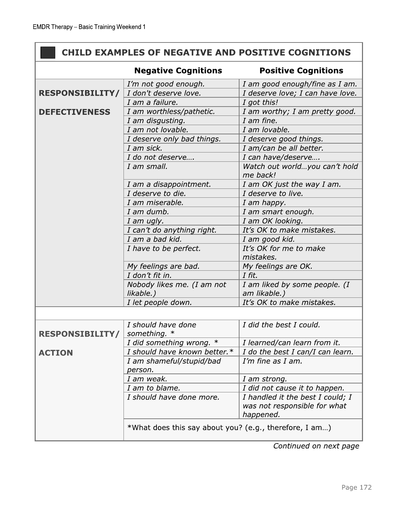# CHILD EXAMPLES OF NEGATIVE AND POSITIVE COGNITIONS

|                        | <b>Negative Cognitions</b>                             | <b>Positive Cognitions</b>                                                    |  |  |
|------------------------|--------------------------------------------------------|-------------------------------------------------------------------------------|--|--|
|                        | I'm not good enough.                                   | I am good enough/fine as I am.                                                |  |  |
| <b>RESPONSIBILITY/</b> | I don't deserve love.                                  | I deserve love; I can have love.                                              |  |  |
|                        | I am a failure.                                        | I got this!                                                                   |  |  |
| <b>DEFECTIVENESS</b>   | I am worthless/pathetic.                               | I am worthy; I am pretty good.                                                |  |  |
|                        | I am disgusting.                                       | I am fine.                                                                    |  |  |
|                        | I am not lovable.                                      | I am lovable.                                                                 |  |  |
|                        | I deserve only bad things.                             | I deserve good things.                                                        |  |  |
|                        | I am sick.                                             | I am/can be all better.                                                       |  |  |
|                        | I do not deserve                                       | I can have/deserve                                                            |  |  |
|                        | I am small.                                            | Watch out worldyou can't hold<br>me back!                                     |  |  |
|                        | I am a disappointment.                                 | I am OK just the way I am.                                                    |  |  |
|                        | I deserve to die.                                      | I deserve to live.                                                            |  |  |
|                        | I am miserable.                                        | I am happy.                                                                   |  |  |
|                        | I am dumb.                                             | I am smart enough.                                                            |  |  |
|                        | I am ugly.                                             | I am OK looking.                                                              |  |  |
|                        | I can't do anything right.                             | It's OK to make mistakes.                                                     |  |  |
|                        | I am a bad kid.                                        | I am good kid.                                                                |  |  |
|                        | I have to be perfect.                                  | It's OK for me to make                                                        |  |  |
|                        |                                                        | mistakes.                                                                     |  |  |
|                        | My feelings are bad.                                   | My feelings are OK.                                                           |  |  |
|                        | I don't fit in.                                        | I fit.                                                                        |  |  |
|                        | Nobody likes me. (I am not<br>likable.)                | I am liked by some people. (I<br>am likable.)                                 |  |  |
|                        | I let people down.                                     | It's OK to make mistakes.                                                     |  |  |
|                        |                                                        |                                                                               |  |  |
| <b>RESPONSIBILITY/</b> | I should have done<br>something. *                     | I did the best I could.                                                       |  |  |
|                        | I did something wrong. *                               | I learned/can learn from it.                                                  |  |  |
| <b>ACTION</b>          | I should have known better.*                           | I do the best I can/I can learn.                                              |  |  |
|                        | I am shameful/stupid/bad<br>person.                    | I'm fine as I am.                                                             |  |  |
|                        | I am weak.                                             | I am strong.                                                                  |  |  |
|                        | I am to blame.                                         | I did not cause it to happen.                                                 |  |  |
|                        | I should have done more.                               | I handled it the best I could; I<br>was not responsible for what<br>happened. |  |  |
|                        | *What does this say about you? (e.g., therefore, I am) |                                                                               |  |  |

Continued on next page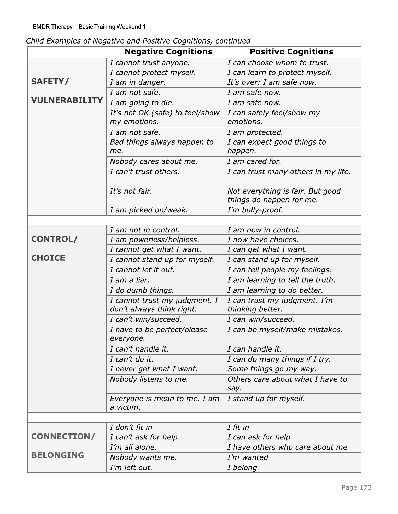|  |  | Child Examples of Negative and Positive Cognitions, continued |  |
|--|--|---------------------------------------------------------------|--|
|--|--|---------------------------------------------------------------|--|

|                                  | Child Examples of Negative and Positive Cognitions, continued                             |                                                             |  |
|----------------------------------|-------------------------------------------------------------------------------------------|-------------------------------------------------------------|--|
|                                  | <b>Negative Cognitions</b>                                                                | <b>Positive Cognitions</b>                                  |  |
|                                  | I cannot trust anyone.<br>I cannot protect myself.                                        | I can choose whom to trust.                                 |  |
| <b>SAFETY/</b>                   | I am in danger.                                                                           | I can learn to protect myself.<br>It's over; I am safe now. |  |
|                                  | I am not safe.                                                                            | I am safe now.                                              |  |
| <b>VULNERABILITY</b>             | I am safe now.<br>I am going to die.                                                      |                                                             |  |
|                                  |                                                                                           |                                                             |  |
|                                  | It's not OK (safe) to feel/show<br>I can safely feel/show my<br>my emotions.<br>emotions. |                                                             |  |
|                                  | I am not safe.                                                                            |                                                             |  |
|                                  | Bad things always happen to                                                               | I am protected.<br>I can expect good things to              |  |
|                                  | me.                                                                                       | happen.                                                     |  |
|                                  | Nobody cares about me.                                                                    | I am cared for.                                             |  |
|                                  | I can't trust others.                                                                     | I can trust many others in my life.                         |  |
|                                  |                                                                                           |                                                             |  |
|                                  | It's not fair.                                                                            | Not everything is fair. But good                            |  |
|                                  |                                                                                           | things do happen for me.                                    |  |
|                                  | I am picked on/weak.                                                                      | I'm bully-proof.                                            |  |
|                                  |                                                                                           |                                                             |  |
|                                  | I am not in control.                                                                      | I am now in control.                                        |  |
| <b>CONTROL/</b><br><b>CHOICE</b> | I am powerless/helpless.                                                                  | I now have choices.                                         |  |
|                                  | I cannot get what I want.                                                                 | I can get what I want.                                      |  |
|                                  | I cannot stand up for myself.                                                             | I can stand up for myself.                                  |  |
|                                  | I cannot let it out.                                                                      | I can tell people my feelings.                              |  |
|                                  | I am a liar.<br>I am learning to tell the truth.                                          |                                                             |  |
|                                  | I do dumb things.                                                                         | I am learning to do better.                                 |  |
|                                  | I cannot trust my judgment. I<br>don't always think right.                                | I can trust my judgment. I'm<br>thinking better.            |  |
|                                  | I can't win/succeed.                                                                      | I can win/succeed.                                          |  |
|                                  | I have to be perfect/please<br>everyone.                                                  | I can be myself/make mistakes.                              |  |
|                                  | I can't handle it.                                                                        | I can handle it.                                            |  |
|                                  | I can't do it.                                                                            | I can do many things if I try.                              |  |
|                                  | I never get what I want.                                                                  | Some things go my way.                                      |  |
|                                  | Nobody listens to me.                                                                     | Others care about what I have to<br>say.                    |  |
|                                  | Everyone is mean to me. I am<br>a victim.                                                 | I stand up for myself.                                      |  |
|                                  |                                                                                           |                                                             |  |
|                                  | I don't fit in                                                                            | I fit in                                                    |  |
| <b>CONNECTION/</b>               | I can't ask for help                                                                      | I can ask for help                                          |  |
| <b>BELONGING</b>                 | I'm all alone.                                                                            | I have others who care about me                             |  |
|                                  | Nobody wants me.                                                                          | I'm wanted                                                  |  |
|                                  | I'm left out.                                                                             | I belong                                                    |  |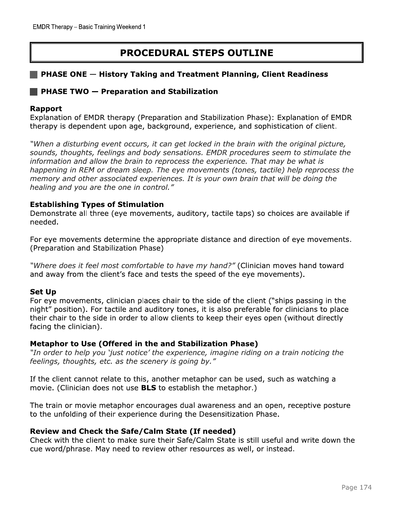# **PROCEDURAL STEPS OUTLINE**

#### **PHASE ONE – History Taking and Treatment Planning, Client Readiness**

#### **PHASE TWO - Preparation and Stabilization**

#### Rapport

Explanation of EMDR therapy (Preparation and Stabilization Phase): Explanation of EMDR therapy is dependent upon age, background, experience, and sophistication of client.

"When a disturbing event occurs, it can get locked in the brain with the original picture, sounds, thoughts, feelings and body sensations. EMDR procedures seem to stimulate the information and allow the brain to reprocess the experience. That may be what is happening in REM or dream sleep. The eye movements (tones, tactile) help reprocess the memory and other associated experiences. It is your own brain that will be doing the healing and you are the one in control."

#### **Establishing Types of Stimulation**

Demonstrate all three (eye movements, auditory, tactile taps) so choices are available if needed.

For eye movements determine the appropriate distance and direction of eye movements. (Preparation and Stabilization Phase)

"Where does it feel most comfortable to have my hand?" (Clinician moves hand toward and away from the client's face and tests the speed of the eye movements).

#### **Set Up**

For eye movements, clinician places chair to the side of the client ("ships passing in the night" position). For tactile and auditory tones, it is also preferable for clinicians to place their chair to the side in order to allow clients to keep their eyes open (without directly facing the clinician).

#### Metaphor to Use (Offered in the and Stabilization Phase)

"In order to help you 'just notice' the experience, imagine riding on a train noticing the feelings, thoughts, etc. as the scenery is going by."

If the client cannot relate to this, another metaphor can be used, such as watching a movie. (Clinician does not use **BLS** to establish the metaphor.)

The train or movie metaphor encourages dual awareness and an open, receptive posture to the unfolding of their experience during the Desensitization Phase.

#### Review and Check the Safe/Calm State (If needed)

Check with the client to make sure their Safe/Calm State is still useful and write down the cue word/phrase. May need to review other resources as well, or instead.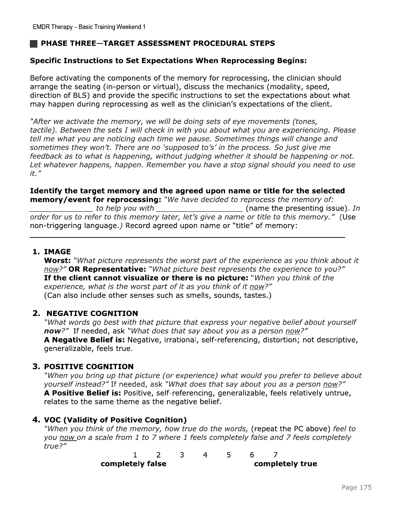### PHASE THREE-TARGET ASSESSMENT PROCEDURAL STEPS

#### **Specific Instructions to Set Expectations When Reprocessing Begins:**

Before activating the components of the memory for reprocessing, the clinician should arrange the seating (in-person or virtual), discuss the mechanics (modality, speed, direction of BLS) and provide the specific instructions to set the expectations about what may happen during reprocessing as well as the clinician's expectations of the client.

"After we activate the memory, we will be doing sets of eye movements (tones, tactile). Between the sets I will check in with you about what you are experiencing. Please tell me what you are noticing each time we pause. Sometimes things will change and sometimes they won't. There are no 'supposed to's' in the process. So just give me feedback as to what is happening, without judging whether it should be happening or not. Let whatever happens, happen. Remember you have a stop signal should you need to use  $it.$ "

### Identify the target memory and the agreed upon name or title for the selected memory/event for reprocessing: "We have decided to reprocess the memory of:

to help you with \_\_\_\_\_\_\_\_\_\_\_\_\_\_\_\_\_\_\_\_\_\_\_\_\_\_\_\_\_\_\_\_\_\_\_(name the presenting issue). In order for us to refer to this memory later, let's give a name or title to this memory." (Use non-triggering language.) Record agreed upon name or "title" of memory:

#### 1. IMAGE

Worst: "What picture represents the worst part of the experience as you think about it now?" OR Representative: "What picture best represents the experience to you?" If the client cannot visualize or there is no picture: "When you think of the experience, what is the worst part of it as you think of it now?" (Can also include other senses such as smells, sounds, tastes.)

#### 2. NEGATIVE COGNITION

"What words go best with that picture that express your negative belief about yourself now?" If needed, ask "What does that say about you as a person now?" A Negative Belief is: Negative, irrational, self-referencing, distortion; not descriptive, generalizable, feels true.

#### **3. POSITIVE COGNITION**

"When you bring up that picture (or experience) what would you prefer to believe about yourself instead?" If needed, ask "What does that say about you as a person now?" A Positive Belief is: Positive, self-referencing, generalizable, feels relatively untrue, relates to the same theme as the negative belief.

#### 4. VOC (Validity of Positive Cognition)

"When you think of the memory, how true do the words, (repeat the PC above) feel to you now on a scale from 1 to 7 where 1 feels completely false and 7 feels completely true?"

| completely false |  |  |  |  | completely true |  |
|------------------|--|--|--|--|-----------------|--|
|                  |  |  |  |  |                 |  |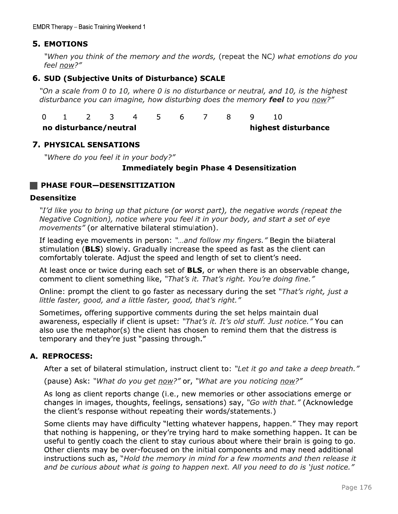### **5. EMOTIONS**

"When you think of the memory and the words, (repeat the NC) what emotions do you feel now?"

#### 6. SUD (Subjective Units of Disturbance) SCALE

"On a scale from 0 to 10, where 0 is no disturbance or neutral, and 10, is the highest disturbance you can imagine, how disturbing does the memory feel to you now?"

 $\Omega$  $\mathbf{1}$  $\overline{2}$ 3  $\overline{4}$ 5 6  $\overline{7}$ 8 9 10

no disturbance/neutral highest disturbance

#### **7. PHYSICAL SENSATIONS**

"Where do you feel it in your body?"

#### **Immediately begin Phase 4 Desensitization**

#### **PHASE FOUR-DESENSITIZATION**

#### **Desensitize**

"I'd like you to bring up that picture (or worst part), the negative words (repeat the Negative Cognition), notice where you feel it in your body, and start a set of eye *movements"* (or alternative bilateral stimulation).

If leading eye movements in person: "...and follow my fingers." Begin the bilateral stimulation (BLS) slowly. Gradually increase the speed as fast as the client can comfortably tolerate. Adjust the speed and length of set to client's need.

At least once or twice during each set of **BLS**, or when there is an observable change, comment to client something like, "That's it. That's right. You're doing fine."

Online: prompt the client to go faster as necessary during the set "That's right, just a little faster, good, and a little faster, good, that's right."

Sometimes, offering supportive comments during the set helps maintain dual awareness, especially if client is upset: "That's it. It's old stuff. Just notice." You can also use the metaphor(s) the client has chosen to remind them that the distress is temporary and they're just "passing through."

### A. REPROCESS:

After a set of bilateral stimulation, instruct client to: "Let it go and take a deep breath."

(pause) Ask: "What do you get now?" or, "What are you noticing now?"

As long as client reports change (i.e., new memories or other associations emerge or changes in images, thoughts, feelings, sensations) say, "Go with that." (Acknowledge the client's response without repeating their words/statements.)

Some clients may have difficulty "letting whatever happens, happen." They may report that nothing is happening, or they're trying hard to make something happen. It can be useful to gently coach the client to stay curious about where their brain is going to go. Other clients may be over-focused on the initial components and may need additional instructions such as, "Hold the memory in mind for a few moments and then release it and be curious about what is going to happen next. All you need to do is 'just notice."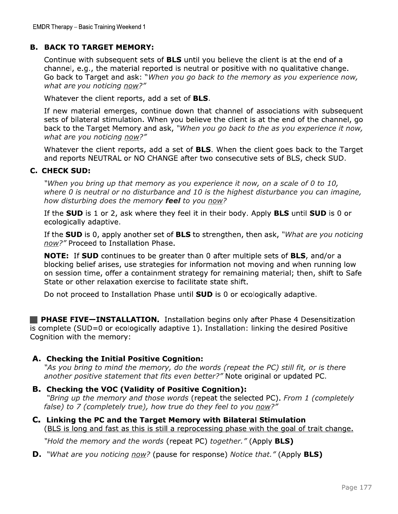EMDR Therapy – Basic Training Weekend 1<br> **B. BACK TO TARGET MEMORY:**<br>
Continue with subsequent sets of **BLS** until y<br>
channel, e.g., the material reported is neutra<br>
Go back to Target and ask: "*When you go ba<br>
what are yo* Continue with subsequent sets of **BLS** until you believe the client is at the end of a channel, e.g., the material reported is neutral or positive with no qualitative change. Go back to Target and ask: "When you go back to the memory as you experience now, what are you noticing now?"

Whatever the client reports, add a set of **BLS**.

If new material emerges, continue down that channel of associations with subsequent sets of bilateral stimulation. When you believe the client is at the end of the channel, go back to the Target Memory and ask, "When you go back to the as you experience it now, what are you noticing now?"

Whatever the client reports, add a set of **BLS**. When the client goes back to the Target and reports NEUTRAL or NO CHANGE after two consecutive sets of BLS, check SUD.

#### **C. CHECK SUD:**

"When you bring up that memory as you experience it now, on a scale of 0 to 10, where  $0$  is neutral or no disturbance and 10 is the highest disturbance you can imagine, how disturbing does the memory feel to you now?

If the SUD is 1 or 2, ask where they feel it in their body. Apply BLS until SUD is 0 or ecologically adaptive.

If the **SUD** is 0, apply another set of **BLS** to strengthen, then ask, "What are you noticing now?" Proceed to Installation Phase.

where 0 is neutral or no disturbance and 10 is the highest disturbance you can imagine,<br>how disturbing does the memory **feel** to you <u>now</u>?<br>If the **SUD** is 1 or 2, ask where they feel it in their body. Apply **BLS** until **NOTE:** If **SUD** continues to be greater than 0 after multiple sets of **BLS**, and/or a blocking belief arises, use strategies for information not moving and when running low on session time, offer a containment strategy f

**Example CEOD=0 or ecologically adaptive 1).** Installation: I<br>Cognition with the memory:<br>**A. Checking the Initial Positive Cognition:**<br>"As you bring to mind the memory, do the words (repeat another positive statement that

#### A. Checking the Initial Positive Cognition:

"As you bring to mind the memory, do the words (repeat the PC) still fit, or is there another positive statement that fits even better?" Note original or updated PC.

"Bring up the memory and those words (repeat the selected PC). From 1 (completely false) to 7 (completely true), how true do they feel to you now?"

C. Linking the PC and the Target Memory with Bilateral Stimulation (BLS is long and fast as this is still a reprocessing phase with the goal of trait change.

"Hold the memory and the words (repeat PC) together." (Apply **BLS)** 

**D.** "What are you noticing <u>now</u>? (pause for response) Notice that." (Apply **BLS)**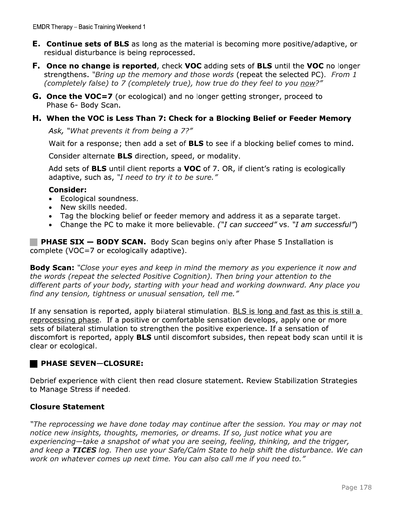- **E.** Continue sets of BLS as long as the material is becoming more positive/adaptive, or residual disturbance is being reprocessed.
- **F.** Once no change is reported, check VOC adding sets of BLS until the VOC no longer strengthens. "Bring up the memory and those words (repeat the selected PC). From 1 (completely false) to 7 (completely true), how true do they feel to you now?"
- G. Once the VOC=7 (or ecological) and no longer getting stronger, proceed to Phase 6- Body Scan.

#### H. When the VOC is Less Than 7: Check for a Blocking Belief or Feeder Memory

Ask, "What prevents it from being a 7?"

Wait for a response; then add a set of **BLS** to see if a blocking belief comes to mind.

Consider alternate **BLS** direction, speed, or modality.

Add sets of **BLS** until client reports a VOC of 7. OR, if client's rating is ecologically adaptive, such as, "I need to try it to be sure."

#### **Consider:**

- Ecological soundness.
- New skills needed.
- Tag the blocking belief or feeder memory and address it as a separate target.
- Change the PC to make it more believable. ("I can succeed" vs. "I am successful")

**PHASE SIX - BODY SCAN.** Body Scan begins only after Phase 5 Installation is complete (VOC=7 or ecologically adaptive).

**Body Scan:** "Close your eyes and keep in mind the memory as you experience it now and the words (repeat the selected Positive Cognition). Then bring your attention to the different parts of your body, starting with your head and working downward. Any place you find any tension, tightness or unusual sensation, tell me."

If any sensation is reported, apply bilateral stimulation. BLS is long and fast as this is still a reprocessing phase. If a positive or comfortable sensation develops, apply one or more sets of bilateral stimulation to strengthen the positive experience. If a sensation of discomfort is reported, apply **BLS** until discomfort subsides, then repeat body scan until it is clear or ecological.

### **PHASE SEVEN-CLOSURE:**

Debrief experience with client then read closure statement. Review Stabilization Strategies to Manage Stress if needed.

### **Closure Statement**

"The reprocessing we have done today may continue after the session. You may or may not notice new insights, thoughts, memories, or dreams. If so, just notice what you are experiencing-take a snapshot of what you are seeing, feeling, thinking, and the trigger, and keep a TICES log. Then use your Safe/Calm State to help shift the disturbance. We can work on whatever comes up next time. You can also call me if you need to."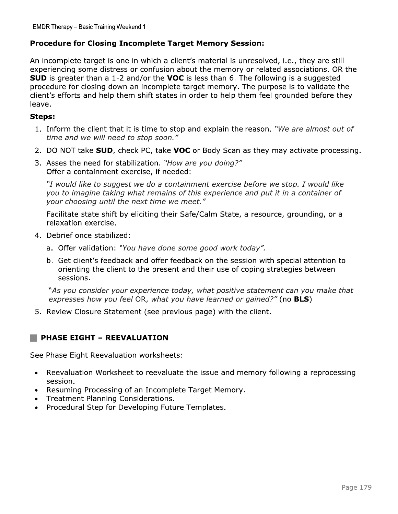#### **Procedure for Closing Incomplete Target Memory Session:**

An incomplete target is one in which a client's material is unresolved, i.e., they are still experiencing some distress or confusion about the memory or related associations. OR the **SUD** is greater than a 1-2 and/or the VOC is less than 6. The following is a suggested procedure for closing down an incomplete target memory. The purpose is to validate the client's efforts and help them shift states in order to help them feel grounded before they leave.

#### Steps:

- 1. Inform the client that it is time to stop and explain the reason. "We are almost out of time and we will need to stop soon."
- 2. DO NOT take SUD, check PC, take VOC or Body Scan as they may activate processing.
- 3. Asses the need for stabilization. "How are you doing?" Offer a containment exercise, if needed:

"I would like to suggest we do a containment exercise before we stop. I would like you to imagine taking what remains of this experience and put it in a container of your choosing until the next time we meet."

Facilitate state shift by eliciting their Safe/Calm State, a resource, grounding, or a relaxation exercise.

- 4. Debrief once stabilized:
	- a. Offer validation: "You have done some good work today".
	- b. Get client's feedback and offer feedback on the session with special attention to orienting the client to the present and their use of coping strategies between sessions.

"As you consider your experience today, what positive statement can you make that expresses how you feel OR, what you have learned or gained?" (no **BLS**)

5. Review Closure Statement (see previous page) with the client.

### PHASE EIGHT - REEVALUATION

See Phase Eight Reevaluation worksheets:

- Reevaluation Worksheet to reevaluate the issue and memory following a reprocessing  $\bullet$ session.
- Resuming Processing of an Incomplete Target Memory.  $\bullet$
- Treatment Planning Considerations.  $\bullet$
- Procedural Step for Developing Future Templates.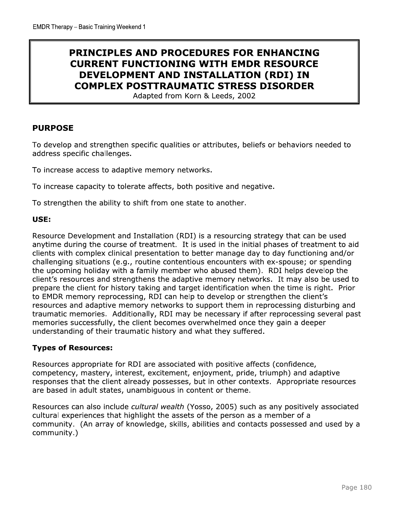# **PRINCIPLES AND PROCEDURES FOR ENHANCING CURRENT FUNCTIONING WITH EMDR RESOURCE** DEVELOPMENT AND INSTALLATION (RDI) IN **COMPLEX POSTTRAUMATIC STRESS DISORDER**

Adapted from Korn & Leeds, 2002

#### **PURPOSE**

To develop and strengthen specific qualities or attributes, beliefs or behaviors needed to address specific challenges.

To increase access to adaptive memory networks.

To increase capacity to tolerate affects, both positive and negative.

To strengthen the ability to shift from one state to another.

#### USE:

Resource Development and Installation (RDI) is a resourcing strategy that can be used anytime during the course of treatment. It is used in the initial phases of treatment to aid clients with complex clinical presentation to better manage day to day functioning and/or challenging situations (e.g., routine contentious encounters with ex-spouse; or spending the upcoming holiday with a family member who abused them). RDI helps develop the client's resources and strengthens the adaptive memory networks. It may also be used to prepare the client for history taking and target identification when the time is right. Prior to EMDR memory reprocessing, RDI can help to develop or strengthen the client's resources and adaptive memory networks to support them in reprocessing disturbing and traumatic memories. Additionally, RDI may be necessary if after reprocessing several past memories successfully, the client becomes overwhelmed once they gain a deeper understanding of their traumatic history and what they suffered.

#### **Types of Resources:**

Resources appropriate for RDI are associated with positive affects (confidence, competency, mastery, interest, excitement, enjoyment, pride, triumph) and adaptive responses that the client already possesses, but in other contexts. Appropriate resources are based in adult states, unambiguous in content or theme.

Resources can also include cultural wealth (Yosso, 2005) such as any positively associated cultural experiences that highlight the assets of the person as a member of a community. (An array of knowledge, skills, abilities and contacts possessed and used by a community.)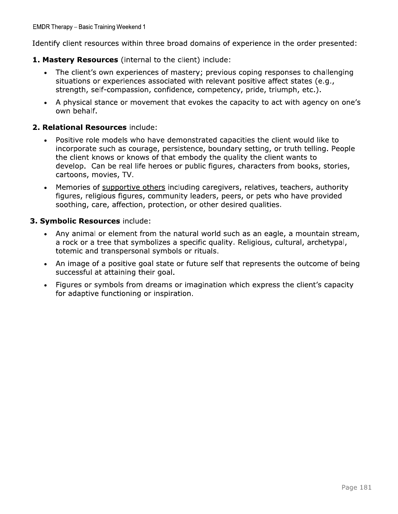Identify client resources within three broad domains of experience in the order presented:

#### 1. Mastery Resources (internal to the client) include:

- The client's own experiences of mastery; previous coping responses to challenging  $\bullet$ situations or experiences associated with relevant positive affect states (e.g., strength, self-compassion, confidence, competency, pride, triumph, etc.).
- A physical stance or movement that evokes the capacity to act with agency on one's own behalf.

#### 2. Relational Resources include:

- Positive role models who have demonstrated capacities the client would like to  $\bullet$ incorporate such as courage, persistence, boundary setting, or truth telling. People the client knows or knows of that embody the quality the client wants to develop. Can be real life heroes or public figures, characters from books, stories, cartoons, movies, TV.
- Memories of supportive others including caregivers, relatives, teachers, authority  $\bullet$ figures, religious figures, community leaders, peers, or pets who have provided soothing, care, affection, protection, or other desired qualities.

#### 3. Symbolic Resources include:

- Any animal or element from the natural world such as an eagle, a mountain stream, a rock or a tree that symbolizes a specific quality. Religious, cultural, archetypal, totemic and transpersonal symbols or rituals.
- An image of a positive goal state or future self that represents the outcome of being  $\bullet$ successful at attaining their goal.
- Figures or symbols from dreams or imagination which express the client's capacity for adaptive functioning or inspiration.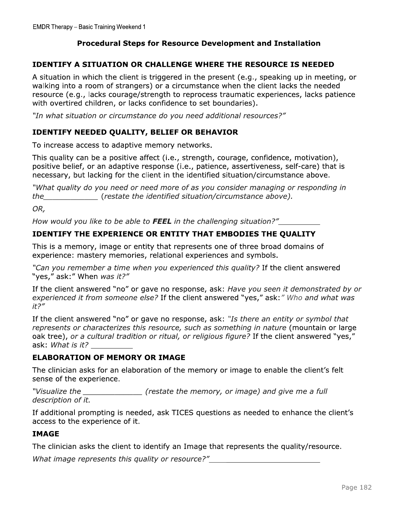### **Procedural Steps for Resource Development and Installation**

#### **IDENTIFY A SITUATION OR CHALLENGE WHERE THE RESOURCE IS NEEDED**

A situation in which the client is triggered in the present (e.g., speaking up in meeting, or walking into a room of strangers) or a circumstance when the client lacks the needed resource (e.g., lacks courage/strength to reprocess traumatic experiences, lacks patience with overtired children, or lacks confidence to set boundaries).

"In what situation or circumstance do you need additional resources?"

#### **IDENTIFY NEEDED QUALITY, BELIEF OR BEHAVIOR**

To increase access to adaptive memory networks.

This quality can be a positive affect (i.e., strength, courage, confidence, motivation), positive belief, or an adaptive response (i.e., patience, assertiveness, self-care) that is necessary, but lacking for the client in the identified situation/circumstance above.

"What quality do you need or need more of as you consider managing or responding in the restate the identified situation/circumstance above).

OR.

How would you like to be able to FEEL in the challenging situation?"

### IDENTIFY THE EXPERIENCE OR ENTITY THAT EMBODIES THE QUALITY

This is a memory, image or entity that represents one of three broad domains of experience: mastery memories, relational experiences and symbols.

"Can you remember a time when you experienced this quality? If the client answered "yes," ask:" When was it?"

If the client answered "no" or gave no response, ask: Have you seen it demonstrated by or experienced it from someone else? If the client answered "yes," ask:" Who and what was  $it?''$ 

If the client answered "no" or gave no response, ask: "Is there an entity or symbol that represents or characterizes this resource, such as something in nature (mountain or large oak tree), or a cultural tradition or ritual, or religious figure? If the client answered "yes," ask: *What is it?* 

#### **ELABORATION OF MEMORY OR IMAGE**

The clinician asks for an elaboration of the memory or image to enable the client's felt sense of the experience.

"Visualize the (restate the memory, or image) and give me a full description of it.

If additional prompting is needed, ask TICES questions as needed to enhance the client's access to the experience of it.

#### **IMAGE**

The clinician asks the client to identify an Image that represents the quality/resource.

What image represents this quality or resource?"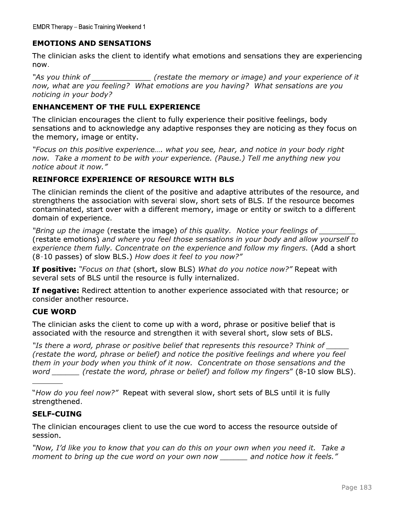### **EMOTIONS AND SENSATIONS**

The clinician asks the client to identify what emotions and sensations they are experiencing now.

(restate the memory or image) and your experience of it "As you think of now, what are you feeling? What emotions are you having? What sensations are you noticing in your body?

#### **ENHANCEMENT OF THE FULL EXPERIENCE**

The clinician encourages the client to fully experience their positive feelings, body sensations and to acknowledge any adaptive responses they are noticing as they focus on the memory, image or entity.

"Focus on this positive experience.... what you see, hear, and notice in your body right now. Take a moment to be with your experience. (Pause.) Tell me anything new you notice about it now."

#### **REINFORCE EXPERIENCE OF RESOURCE WITH BLS**

The clinician reminds the client of the positive and adaptive attributes of the resource, and strengthens the association with several slow, short sets of BLS. If the resource becomes contaminated, start over with a different memory, image or entity or switch to a different domain of experience.

"Bring up the image (restate the image) of this quality. Notice your feelings of (restate emotions) and where you feel those sensations in your body and allow yourself to experience them fully. Concentrate on the experience and follow my fingers. (Add a short (8-10 passes) of slow BLS.) How does it feel to you now?"

**If positive:** "Focus on that (short, slow BLS) What do you notice now?" Repeat with several sets of BLS until the resource is fully internalized.

If negative: Redirect attention to another experience associated with that resource; or consider another resource.

#### **CUE WORD**

The clinician asks the client to come up with a word, phrase or positive belief that is associated with the resource and strengthen it with several short, slow sets of BLS.

"Is there a word, phrase or positive belief that represents this resource? Think of (restate the word, phrase or belief) and notice the positive feelings and where you feel them in your body when you think of it now. Concentrate on those sensations and the word \_\_\_\_\_\_ (restate the word, phrase or belief) and follow my fingers" (8-10 slow BLS).

"How do you feel now?" Repeat with several slow, short sets of BLS until it is fully strengthened.

#### **SELF-CUING**

The clinician encourages client to use the cue word to access the resource outside of session.

"Now, I'd like you to know that you can do this on your own when you need it. Take a moment to bring up the cue word on your own now \_\_\_\_\_\_\_ and notice how it feels."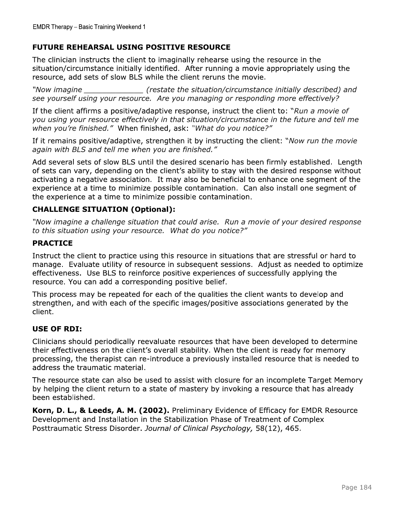EMDR Therapy – Basic Training Weekend 1<br> **FUTURE REHEARSAL USING POSITIVE RESOURCE**<br>
The clinician instructs the client to imaginally rehearse using the resource in the<br>
situation/circumstance initially identified. After r

when you're finished." When finished, ask: "What do you notice?"

If it remains positive/adaptive, strengthen it by instructing the client: "Now run the movie again with BLS and tell me when you are finished."

Add several sets of slow BLS until the desired scenario has been firmly established. Length of sets can vary, depending on the client's ability to stay with the desired response without activating a negative association. It may also be beneficial to enhance one segment of the experience at a time to minimize possible contamination. Can also install one segment of the experience at a time to minimize possible contamination. In tremains positive *daughting*, strengthen it by instructing the client; *Now run the movie*<br>again with BLS and tell me when you are finished."<br>Add several sets of slow BLS until the desired scenario has been firmly esta

This process may be repeated for each of the qualities the client wants to develop and strengthen, and with each of the specific images/positive associations generated by the

manage. Evaluate utility of resource in subsequent sessions. Adjust as needed to optimize<br>effectiveness. Use BLS to reinforce positive experiences of successfully applying the<br>resource. You can add a corresponding positive

Korn, D. L., & Leeds, A. M. (2002). Preliminary Evidence of Efficacy for EMDR Resource Development and Installation in the Stabilization Phase of Treatment of Complex Posttraumatic Stress Disorder. Journal of Clinical Psychology, 58(12), 465.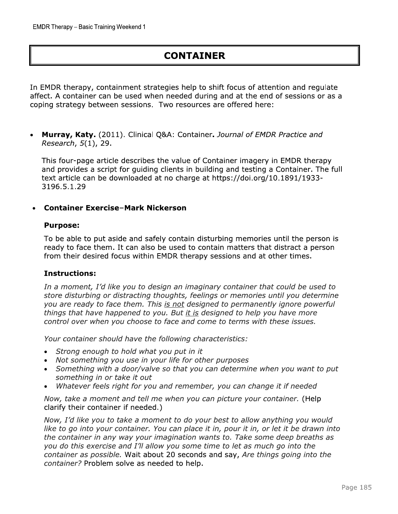# **CONTAINER**

In EMDR therapy, containment strategies help to shift focus of attention and regulate affect. A container can be used when needed during and at the end of sessions or as a coping strategy between sessions. Two resources are offered here:

Murray, Katy. (2011). Clinical Q&A: Container. Journal of EMDR Practice and  $\bullet$ Research, 5(1), 29.

This four-page article describes the value of Container imagery in EMDR therapy and provides a script for quiding clients in building and testing a Container. The full text article can be downloaded at no charge at https://doi.org/10.1891/1933-3196.5.1.29

#### **Container Exercise-Mark Nickerson**

#### **Purpose:**

To be able to put aside and safely contain disturbing memories until the person is ready to face them. It can also be used to contain matters that distract a person from their desired focus within EMDR therapy sessions and at other times.

#### **Instructions:**

In a moment, I'd like you to design an imaginary container that could be used to store disturbing or distracting thoughts, feelings or memories until you determine you are ready to face them. This is not designed to permanently ignore powerful things that have happened to you. But it is designed to help you have more control over when you choose to face and come to terms with these issues.

Your container should have the following characteristics:

- Strong enough to hold what you put in it
- Not something you use in your life for other purposes
- Something with a door/valve so that you can determine when you want to put something in or take it out
- Whatever feels right for you and remember, you can change it if needed

Now, take a moment and tell me when you can picture your container. (Help clarify their container if needed.)

Now, I'd like you to take a moment to do your best to allow anything you would like to go into your container. You can place it in, pour it in, or let it be drawn into the container in any way your imagination wants to. Take some deep breaths as you do this exercise and I'll allow you some time to let as much go into the container as possible. Wait about 20 seconds and say, Are things going into the container? Problem solve as needed to help.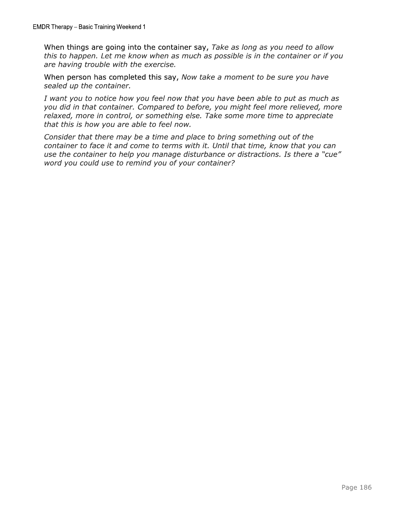When things are going into the container say, Take as long as you need to allow this to happen. Let me know when as much as possible is in the container or if you are having trouble with the exercise.

When person has completed this say, Now take a moment to be sure you have sealed up the container.

I want you to notice how you feel now that you have been able to put as much as you did in that container. Compared to before, you might feel more relieved, more relaxed, more in control, or something else. Take some more time to appreciate that this is how you are able to feel now.

Consider that there may be a time and place to bring something out of the container to face it and come to terms with it. Until that time, know that you can use the container to help you manage disturbance or distractions. Is there a "cue" word you could use to remind you of your container?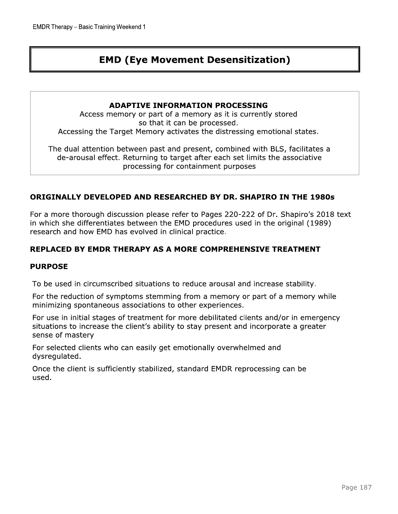# **EMD (Eye Movement Desensitization)**

#### **ADAPTIVE INFORMATION PROCESSING**

Access memory or part of a memory as it is currently stored so that it can be processed. Accessing the Target Memory activates the distressing emotional states.

The dual attention between past and present, combined with BLS, facilitates a de-arousal effect. Returning to target after each set limits the associative processing for containment purposes

#### ORIGINALLY DEVELOPED AND RESEARCHED BY DR. SHAPIRO IN THE 1980s

For a more thorough discussion please refer to Pages 220-222 of Dr. Shapiro's 2018 text in which she differentiates between the EMD procedures used in the original (1989) research and how EMD has evolved in clinical practice.

#### **REPLACED BY EMDR THERAPY AS A MORE COMPREHENSIVE TREATMENT**

#### **PURPOSE**

To be used in circumscribed situations to reduce arousal and increase stability.

For the reduction of symptoms stemming from a memory or part of a memory while minimizing spontaneous associations to other experiences.

For use in initial stages of treatment for more debilitated clients and/or in emergency situations to increase the client's ability to stay present and incorporate a greater sense of mastery

For selected clients who can easily get emotionally overwhelmed and dysregulated.

Once the client is sufficiently stabilized, standard EMDR reprocessing can be used.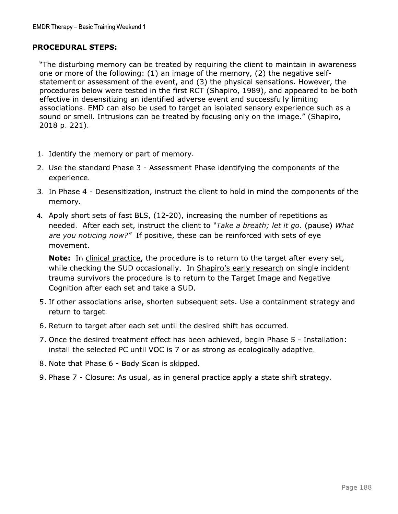#### **PROCEDURAL STEPS:**

"The disturbing memory can be treated by requiring the client to maintain in awareness one or more of the following: (1) an image of the memory, (2) the negative selfstatement or assessment of the event, and (3) the physical sensations. However, the procedures below were tested in the first RCT (Shapiro, 1989), and appeared to be both effective in desensitizing an identified adverse event and successfully limiting associations. EMD can also be used to target an isolated sensory experience such as a sound or smell. Intrusions can be treated by focusing only on the image." (Shapiro, 2018 p. 221).

- 1. Identify the memory or part of memory.
- 2. Use the standard Phase 3 Assessment Phase identifying the components of the experience.
- 3. In Phase 4 Desensitization, instruct the client to hold in mind the components of the memory.
- 4. Apply short sets of fast BLS, (12-20), increasing the number of repetitions as needed. After each set, instruct the client to "Take a breath; let it go. (pause) What are you noticing now?" If positive, these can be reinforced with sets of eye movement.

**Note:** In clinical practice, the procedure is to return to the target after every set, while checking the SUD occasionally. In Shapiro's early research on single incident trauma survivors the procedure is to return to the Target Image and Negative Cognition after each set and take a SUD.

- 5. If other associations arise, shorten subsequent sets. Use a containment strategy and return to target.
- 6. Return to target after each set until the desired shift has occurred.
- 7. Once the desired treatment effect has been achieved, begin Phase 5 Installation: install the selected PC until VOC is 7 or as strong as ecologically adaptive.
- 8. Note that Phase 6 Body Scan is skipped.
- 9. Phase 7 Closure: As usual, as in general practice apply a state shift strategy.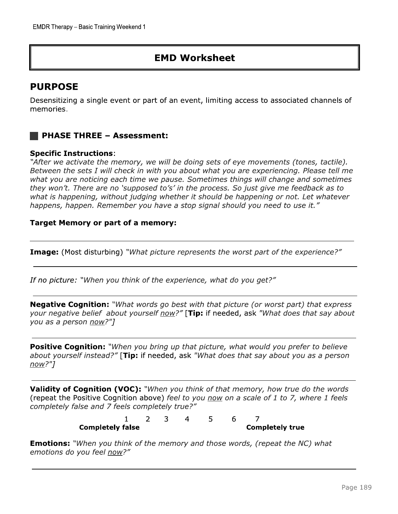# **EMD Worksheet**

# **PURPOSE**

Desensitizing a single event or part of an event, limiting access to associated channels of memories.

### **PHASE THREE - Assessment:**

#### **Specific Instructions:**

"After we activate the memory, we will be doing sets of eye movements (tones, tactile). Between the sets I will check in with you about what you are experiencing. Please tell me what you are noticing each time we pause. Sometimes things will change and sometimes they won't. There are no 'supposed to's' in the process. So just give me feedback as to what is happening, without judging whether it should be happening or not. Let whatever happens, happen. Remember you have a stop signal should you need to use it."

#### **Target Memory or part of a memory:**

**Image:** (Most disturbing) "What picture represents the worst part of the experience?"

If no picture: "When you think of the experience, what do you get?"

**Negative Cognition:** "What words go best with that picture (or worst part) that express your negative belief about yourself now?" [Tip: if needed, ask "What does that say about you as a person now?"]

Positive Cognition: "When you bring up that picture, what would you prefer to believe about yourself instead?" [Tip: if needed, ask "What does that say about you as a person  $now?"$ ]

Validity of Cognition (VOC): "When you think of that memory, how true do the words (repeat the Positive Cognition above) feel to you now on a scale of 1 to 7, where 1 feels completely false and 7 feels completely true?"

|                         |  | $\overline{4}$ 5 |  |                        |
|-------------------------|--|------------------|--|------------------------|
| <b>Completely false</b> |  |                  |  | <b>Completely true</b> |

**Emotions:** "When you think of the memory and those words, (repeat the NC) what emotions do you feel now?"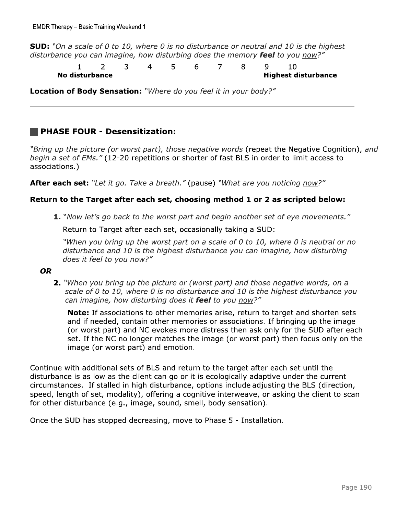**SUD:** "On a scale of 0 to 10, where 0 is no disturbance or neutral and 10 is the highest disturbance you can imagine, how disturbing does the memory feel to you now?"

5  $\overline{2}$  $\overline{4}$ 6  $\overline{7}$ 8  $\mathsf{Q}$  $10$  $\mathbf{1}$ 3 **Highest disturbance** No disturbance

Location of Body Sensation: "Where do you feel it in your body?"

### **PHASE FOUR - Desensitization:**

"Bring up the picture (or worst part), those negative words (repeat the Negative Cognition), and begin a set of EMs." (12-20 repetitions or shorter of fast BLS in order to limit access to associations.)

After each set: "Let it go. Take a breath." (pause) "What are you noticing now?"

#### Return to the Target after each set, choosing method 1 or 2 as scripted below:

1. "Now let's go back to the worst part and begin another set of eye movements."

Return to Target after each set, occasionally taking a SUD:

"When you bring up the worst part on a scale of 0 to 10, where 0 is neutral or no disturbance and 10 is the highest disturbance you can imagine, how disturbing does it feel to you now?"

#### **OR**

2. "When you bring up the picture or (worst part) and those negative words, on a scale of 0 to 10, where 0 is no disturbance and 10 is the highest disturbance you can imagine, how disturbing does it feel to you now?"

Note: If associations to other memories arise, return to target and shorten sets and if needed, contain other memories or associations. If bringing up the image (or worst part) and NC evokes more distress then ask only for the SUD after each set. If the NC no longer matches the image (or worst part) then focus only on the image (or worst part) and emotion.

Continue with additional sets of BLS and return to the target after each set until the disturbance is as low as the client can go or it is ecologically adaptive under the current circumstances. If stalled in high disturbance, options include adjusting the BLS (direction, speed, length of set, modality), offering a cognitive interweave, or asking the client to scan for other disturbance (e.g., image, sound, smell, body sensation).

Once the SUD has stopped decreasing, move to Phase 5 - Installation.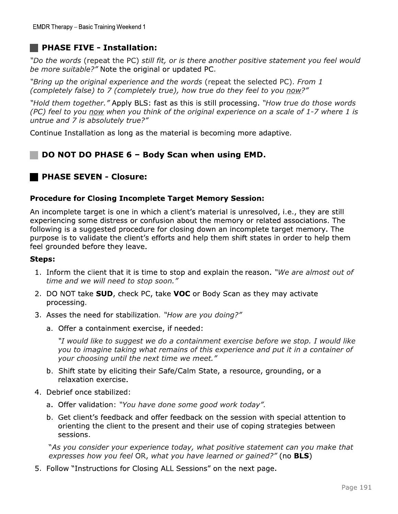**EMDR Therapy – Basic Training Weekend 1**<br> **PHASE FIVE – Installation:**<br>
"Do the words (repeat the PC) *still fit, or is there another positive statement you feel would<br>
be more suitable?" Note the original or updated PC.<br>* "Hold them together." Apply BLS: fast as this is still processing. "How true do those words (PC) feel to you now when you think of the original experience on a scale of 1-7 where 1 is untrue and  $7$  is absolutely true?"

Continue Installation as long as the material is becoming more adaptive.

### DO NOT DO PHASE 6 - Body Scan when using EMD.

#### Procedure for Closing Incomplete Target Memory Session:

"Hold them together." Apply BLS: rast as t<br>
(PC) feel to you <u>now</u> when you think of the<br>
untrue and 7 is absolutely true?"<br>
Continue Installation as long as the materi<br> **DO NOT DO PHASE 6 – Body Sca<br>
PHASE SEVEN - Closure** An incomplete target is one in which a client's material is unresolved, i.e., they are still experiencing some distress or confusion about the memory or related associations. The following is a suggested procedure for closing down an incomplete target memory. The purpose is to validate the client's efforts and help them shift states in order to help them feel grounded before they leave.

#### Steps:

- 1. Inform the client that it is time to stop and explain the reason. "We are almost out of time and we will need to stop soon."
- 2. DO NOT take **SUD**, check PC, take VOC or Body Scan as they may activate processing.
- 3. Asses the need for stabilization. "How are you doing?"
	- a. Offer a containment exercise, if needed:

"I would like to suggest we do a containment exercise before we stop. I would like you to imagine taking what remains of this experience and put it in a container of your choosing until the next time we meet."

- b. Shift state by eliciting their Safe/Calm State, a resource, grounding, or a relaxation exercise.
- 4. Debrief once stabilized:
	- a. Offer validation: "You have done some good work today".
	- b. Get client's feedback and offer feedback on the session with special attention to orienting the client to the present and their use of coping strategies between sessions.

"As you consider your experience today, what positive statement can you make that expresses how you feel OR, what you have learned or gained?" (no **BLS**)

5. Follow "Instructions for Closing ALL Sessions" on the next page.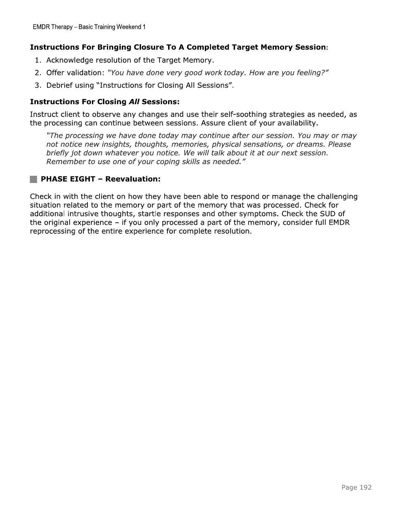#### **Instructions For Bringing Closure To A Completed Target Memory Session:**

- 1. Acknowledge resolution of the Target Memory.
- 2. Offer validation: "You have done very good work today. How are you feeling?"
- 3. Debrief using "Instructions for Closing All Sessions".

#### **Instructions For Closing All Sessions:**

Instruct client to observe any changes and use their self-soothing strategies as needed, as the processing can continue between sessions. Assure client of your availability.

"The processing we have done today may continue after our session. You may or may not notice new insights, thoughts, memories, physical sensations, or dreams. Please briefly jot down whatever you notice. We will talk about it at our next session. Remember to use one of your coping skills as needed."

#### PHASE EIGHT - Reevaluation:

Check in with the client on how they have been able to respond or manage the challenging situation related to the memory or part of the memory that was processed. Check for additional intrusive thoughts, startle responses and other symptoms. Check the SUD of the original experience  $-$  if you only processed a part of the memory, consider full EMDR reprocessing of the entire experience for complete resolution.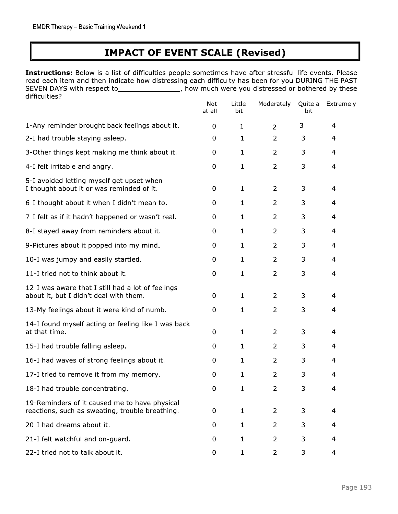# **IMPACT OF EVENT SCALE (Revised)**

Instructions: Below is a list of difficulties people sometimes have after stressful life events. Please read each item and then indicate how distressing each difficulty has been for you DURING THE PAST SEVEN DAYS with respect to\_\_\_\_\_\_\_\_\_\_\_\_\_\_\_\_\_\_, how much were you distressed or bothered by these difficulties?  $1$  ittle  $M$ ederately Quite  $N_{\text{eff}}$  $\overline{a}$  $\sim$ 

|                                                                                                  | <b>Not</b><br>at all | Little<br>bit | Moderately     | Quite a<br>bit | Extremely      |
|--------------------------------------------------------------------------------------------------|----------------------|---------------|----------------|----------------|----------------|
| 1-Any reminder brought back feelings about it.                                                   | 0                    | $\mathbf{1}$  | $\overline{2}$ | 3              | 4              |
| 2-I had trouble staying asleep.                                                                  | 0                    | $\mathbf{1}$  | $\overline{2}$ | 3              | 4              |
| 3-Other things kept making me think about it.                                                    | 0                    | $\mathbf{1}$  | $\overline{2}$ | 3              | 4              |
| 4-I felt irritable and angry.                                                                    | 0                    | $\mathbf{1}$  | $\overline{2}$ | 3              | 4              |
| 5-I avoided letting myself get upset when<br>I thought about it or was reminded of it.           | 0                    | $\mathbf{1}$  | $\overline{2}$ | 3              | $\overline{4}$ |
| 6-I thought about it when I didn't mean to.                                                      | 0                    | $\mathbf{1}$  | $\overline{2}$ | 3              | 4              |
| 7-I felt as if it hadn't happened or wasn't real.                                                | 0                    | $\mathbf{1}$  | $\overline{2}$ | 3              | 4              |
| 8-I stayed away from reminders about it.                                                         | 0                    | $\mathbf{1}$  | $\overline{2}$ | 3              | $\overline{4}$ |
| 9-Pictures about it popped into my mind.                                                         | 0                    | $\mathbf{1}$  | $\overline{2}$ | 3              | 4              |
| 10-I was jumpy and easily startled.                                                              | 0                    | $\mathbf{1}$  | $\overline{2}$ | 3              | 4              |
| 11-I tried not to think about it.                                                                | 0                    | $\mathbf{1}$  | $\overline{2}$ | 3              | 4              |
| 12-I was aware that I still had a lot of feelings<br>about it, but I didn't deal with them.      | 0                    | $\mathbf{1}$  | 2              | 3              | 4              |
| 13-My feelings about it were kind of numb.                                                       | 0                    | $\mathbf{1}$  | $\overline{2}$ | 3              | 4              |
| 14-I found myself acting or feeling like I was back<br>at that time.                             | 0                    | $\mathbf{1}$  | $\overline{2}$ | 3              | 4              |
| 15-I had trouble falling asleep.                                                                 | 0                    | 1             | 2              | 3              | 4              |
| 16-I had waves of strong feelings about it.                                                      | $\mathbf 0$          | 1             | $\overline{2}$ | 3              | 4              |
| 17-I tried to remove it from my memory.                                                          | 0                    | $\mathbf{1}$  | $\overline{2}$ | 3              | 4              |
| 18-I had trouble concentrating.                                                                  | 0                    | $\mathbf{1}$  | $\overline{2}$ | 3              | 4              |
| 19-Reminders of it caused me to have physical<br>reactions, such as sweating, trouble breathing. | 0                    | $\mathbf{1}$  | $\overline{2}$ | 3              | $\overline{4}$ |
| 20-I had dreams about it.                                                                        | 0                    | $\mathbf{1}$  | $\overline{2}$ | 3              | 4              |
| 21-I felt watchful and on-guard.                                                                 | 0                    | $\mathbf{1}$  | $\overline{2}$ | 3              | 4              |
| 22-I tried not to talk about it.                                                                 | 0                    | $\mathbf{1}$  | $\overline{2}$ | 3              | 4              |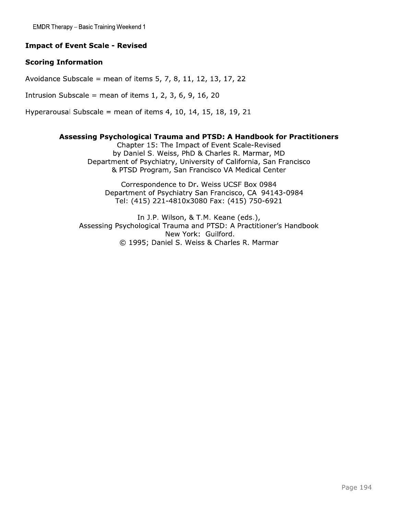#### **Impact of Event Scale - Revised**

#### **Scoring Information**

Avoidance Subscale = mean of items  $5, 7, 8, 11, 12, 13, 17, 22$ 

Intrusion Subscale = mean of items  $1, 2, 3, 6, 9, 16, 20$ 

Hyperarousal Subscale = mean of items  $4, 10, 14, 15, 18, 19, 21$ 

#### Assessing Psychological Trauma and PTSD: A Handbook for Practitioners

Chapter 15: The Impact of Event Scale-Revised by Daniel S. Weiss, PhD & Charles R. Marmar, MD Department of Psychiatry, University of California, San Francisco & PTSD Program, San Francisco VA Medical Center

Correspondence to Dr. Weiss UCSF Box 0984 Department of Psychiatry San Francisco, CA 94143-0984 Tel: (415) 221-4810x3080 Fax: (415) 750-6921

In J.P. Wilson, & T.M. Keane (eds.), Assessing Psychological Trauma and PTSD: A Practitioner's Handbook New York: Guilford. © 1995; Daniel S. Weiss & Charles R. Marmar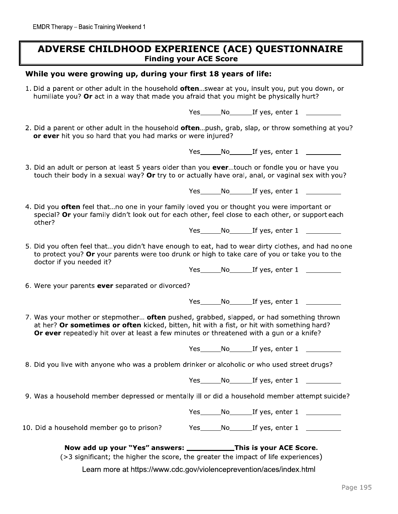### ADVERSE CHILDHOOD EXPERIENCE (ACE) QUESTIONNAIRE **Finding your ACE Score**

#### While you were growing up, during your first 18 years of life:

1. Did a parent or other adult in the household often...swear at you, insult you, put you down, or humiliate you? Or act in a way that made you afraid that you might be physically hurt?

Yes\_\_\_\_\_\_\_No\_\_\_\_\_\_\_\_\_If yes, enter 1 \_\_\_\_\_\_\_\_\_\_\_\_

2. Did a parent or other adult in the household often...push, grab, slap, or throw something at you? or ever hit you so hard that you had marks or were injured?

Yes\_\_\_\_\_\_\_No\_\_\_\_\_\_\_\_If yes, enter 1 \_\_\_\_\_\_\_\_\_\_\_

3. Did an adult or person at least 5 years older than you ever...touch or fondle you or have you touch their body in a sexual way? Or try to or actually have oral, anal, or vaginal sex with you?

Yes\_\_\_\_\_\_\_No\_\_\_\_\_\_\_\_If yes, enter 1 \_\_\_\_\_\_\_\_\_\_\_

4. Did you often feel that...no one in your family loved you or thought you were important or special? Or your family didn't look out for each other, feel close to each other, or support each other?

Yes No If yes, enter 1

5. Did you often feel that...you didn't have enough to eat, had to wear dirty clothes, and had no one to protect you? Or your parents were too drunk or high to take care of you or take you to the doctor if you needed it?

Yes \_\_\_\_\_\_\_ No \_\_\_\_\_\_\_\_ If yes, enter 1 \_\_\_\_\_\_\_\_\_\_\_\_

6. Were your parents ever separated or divorced?

Yes\_\_\_\_\_\_\_No\_\_\_\_\_\_\_\_\_If yes, enter 1 \_\_\_\_\_\_\_\_\_\_

7. Was your mother or stepmother... often pushed, grabbed, slapped, or had something thrown at her? Or sometimes or often kicked, bitten, hit with a fist, or hit with something hard? Or ever repeatedly hit over at least a few minutes or threatened with a gun or a knife?

Yes No If yes, enter 1

8. Did you live with anyone who was a problem drinker or alcoholic or who used street drugs?

Yes No If yes, enter 1

9. Was a household member depressed or mentally ill or did a household member attempt suicide?

Yes\_\_\_\_\_\_\_No\_\_\_\_\_\_\_\_\_If yes, enter 1 \_\_\_\_\_\_\_\_\_\_\_\_

10. Did a household member go to prison? Yes No If yes, enter 1

Now add up your "Yes" answers: \_\_\_\_\_\_\_\_\_\_\_\_\_This is your ACE Score.

(>3 significant; the higher the score, the greater the impact of life experiences)

Learn more at https://www.cdc.gov/violenceprevention/aces/index.html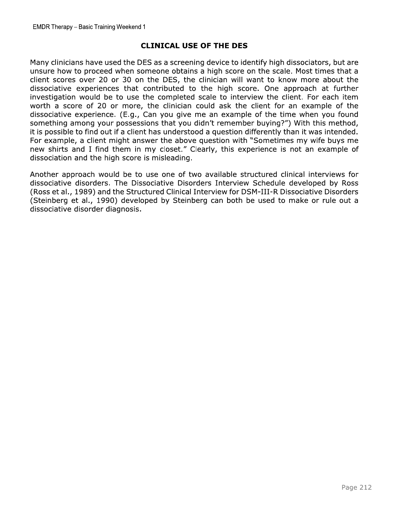EMDR Therapy – Basic Training Weekend 1<br> **CLINICAL USE OF THE DES**<br>
Many clinicians have used the DES as a screening device to identify h<br>
unsure how to proceed when someone obtains a high score on the<br>
client scores over Many clinicians have used the DES as a screening device to identify high dissociators, but are unsure how to proceed when someone obtains a high score on the scale. Most times that a client scores over 20 or 30 on the DES, the clinician will want to know more about the dissociative experiences that contributed to the high score. One approach at further investigation would be to use the completed scale to interview the client. For each item worth a score of 20 or more, the clinician could ask the client for an example of the dissociative experience. (E.g., Can you give me an example of the time when you found something among your possessions that you didn't remember buying?") With this method, it is possible to find out if a client has understood a question differently than it was intended. For example, a client might answer the above question with "Sometimes my wife buys me new shirts and I find them in my closet." Clearly, this experience is not an example of dissociation and the high score is misleading.

Another approach would be to use one of two available structured clinical interviews for dissociative disorders. The Dissociative Disorders Interview Schedule developed by Ross (Ross et al., 1989) and the Structured Clinical Interview for DSM-III-R Dissociative Disorders (Steinberg et al., 1990) developed by Steinberg can both be used to make or rule out a dissociative disorder diagnosis.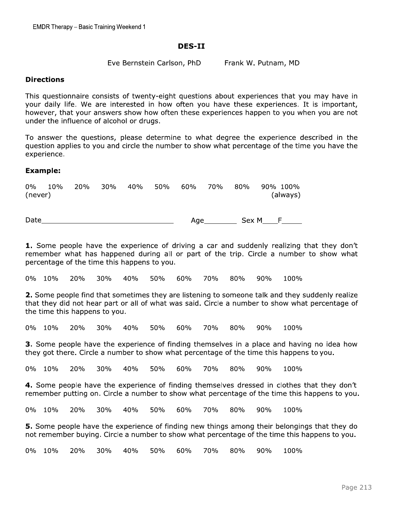#### DES-II

#### **Directions**

EMDR Therapy – Basic Training Weekend 1<br>
DES-II<br>
Eve Bernstein Carlson, PhD Frank W. Putnam, MD<br>
Directions<br>
This questionnaire consists of twenty-eight questions about experiences that yo<br>
your dily life. We are intereste This questionnaire consists of twenty-eight questions about experiences that you may have in your daily life. We are interested in how often you have these experiences. It is important, however, that your answers show how often these experiences happen to you when you are not under the influence of alcohol or drugs.

To answer the questions, please determine to what degree the experience described in the question applies to you and circle the number to show what percentage of the time you have the experience.

#### Example:

| 0%<br>10%<br>(never) | <b>20%</b> | 30% | 40% | 50% | 60% | 70% | 80%   | 90% 100%<br>(always) |  |
|----------------------|------------|-----|-----|-----|-----|-----|-------|----------------------|--|
| Date                 |            |     |     |     | Age |     | Sex M |                      |  |

**1.** Some people have the experience of driving a car and suddenly realizing that they don't remember what has happened during all or part of the trip. Circle a number to show what percentage of the time this happens to you.

U% IU% ZU% 3U% 4U% 5U% 6U% 7U% 8U% 9U% IU0%

2. Some people find that sometimes they are listening to someone talk and they suddenly realize that they did not hear part or all of what was said. Circle a number to show what percentage of the time this happens to you.

U% IU% ZU% 3U% 4U% 5U% 6U% 7U% 8U% 9U% IUU%

**3.** Some people have the experience of finding themselves in a place and having no idea how they got there. Circle a number to show what percentage of the time this happens to you.

U% IU% ZU% 3U% 4U% 5U% 6U% 7U% 8U% 9U% IU0%

4. Some people have the experience of finding themselves dressed in clothes that they don't remember putting on. Circle a number to show what percentage of the time this happens to you.

U% IU% ZU% 3U% 4U% 5U% 6U% 7U% 8U% 9U% IU0%

**5.** Some people have the experience of finding new things among their belongings that they do not remember buying. Circle a number to show what percentage of the time this happens to you.

 $0\%$  10% 20% 30% 40% 50% 60% 70% 80% 90% 100%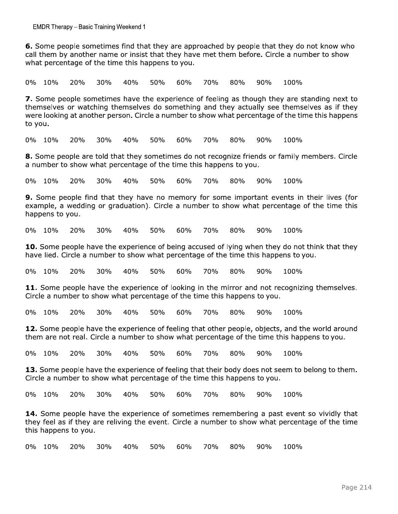6. Some people sometimes find that they are approached by people that they do not know who call them by another name or insist that they have met them before. Circle a number to show what percentage of the time this happens to you.

0% 10% 20% 30% 40% 50% 70% 90% 100% 60% 80%

7. Some people sometimes have the experience of feeling as though they are standing next to themselves or watching themselves do something and they actually see themselves as if they were looking at another person. Circle a number to show what percentage of the time this happens to you.

0% 10% 20% 30% 40% 50% 60% 70% 80% 90% 100%

8. Some people are told that they sometimes do not recognize friends or family members. Circle a number to show what percentage of the time this happens to you.

70% 0% 10% 20% 30% 40% 50% 60% 80% 90% 100%

9. Some people find that they have no memory for some important events in their lives (for example, a wedding or graduation). Circle a number to show what percentage of the time this happens to you.

0% 10%  $20%$ 30%  $40%$ 50%  $60%$ 70% 80%  $90%$ 100%

10. Some people have the experience of being accused of lying when they do not think that they have lied. Circle a number to show what percentage of the time this happens to you.

0% 10% 20% 30% 40% 50% 60% 70% 80% 90% 100%

11. Some people have the experience of looking in the mirror and not recognizing themselves. Circle a number to show what percentage of the time this happens to you.

0% 10% 20% 30%  $40%$ 50%  $60%$ 70% 80%  $90%$ 100%

12. Some people have the experience of feeling that other people, objects, and the world around them are not real. Circle a number to show what percentage of the time this happens to you.

0% 10% 20% 30%  $40%$ 50% 60% 70% 80%  $90%$ 100%

13. Some people have the experience of feeling that their body does not seem to belong to them. Circle a number to show what percentage of the time this happens to you.

0% 10%  $20%$ 30%  $40%$ 50%  $60%$ 70%  $80%$  $90%$ 100%

14. Some people have the experience of sometimes remembering a past event so vividly that they feel as if they are reliving the event. Circle a number to show what percentage of the time this happens to you.

0% 10% 20% 40% 50% 60% 70% 80% 90% 100% 30%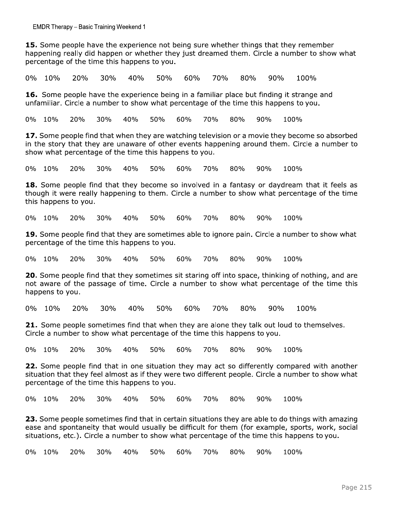15. Some people have the experience not being sure whether things that they remember happening really did happen or whether they just dreamed them. Circle a number to show what percentage of the time this happens to you.

0% 10% 20% 30% 40% 50% 60% 70% 80%  $90%$ 100%

16. Some people have the experience being in a familiar place but finding it strange and unfamiliar. Circle a number to show what percentage of the time this happens to you.

80% 0% 10%  $20%$  $30%$  $40%$ 50%  $60%$ 70% 90% 100%

17. Some people find that when they are watching television or a movie they become so absorbed in the story that they are unaware of other events happening around them. Circle a number to show what percentage of the time this happens to you.

0% 10% 20% 30% 40% 50% 60% 70% 80% 90% 100%

18. Some people find that they become so involved in a fantasy or daydream that it feels as though it were really happening to them. Circle a number to show what percentage of the time this happens to you.

0% 10% 20% 30% 40% 50% 60% 70% 80%  $90%$ 100%

19. Some people find that they are sometimes able to ignore pain. Circle a number to show what percentage of the time this happens to you.

0% 10% 30% 40% 50% 60% 70%  $20%$ 80%  $90%$ 100%

20. Some people find that they sometimes sit staring off into space, thinking of nothing, and are not aware of the passage of time. Circle a number to show what percentage of the time this happens to you.

60% 70% 80% 0% 10% 20% 30% 40% 50%  $90%$ 100%

21. Some people sometimes find that when they are alone they talk out loud to themselves. Circle a number to show what percentage of the time this happens to you.

0% 10% 20% 30% 40% 50% 60% 70% 80% 90% 100%

22. Some people find that in one situation they may act so differently compared with another situation that they feel almost as if they were two different people. Circle a number to show what percentage of the time this happens to you.

0% 10% 20% 30% 40% 50% 60% 70% 80% 90% 100%

23. Some people sometimes find that in certain situations they are able to do things with amazing ease and spontaneity that would usually be difficult for them (for example, sports, work, social situations, etc.). Circle a number to show what percentage of the time this happens to you.

90% 0% 10% 20% 30% 40% 50% 60% 70% 80% 100%